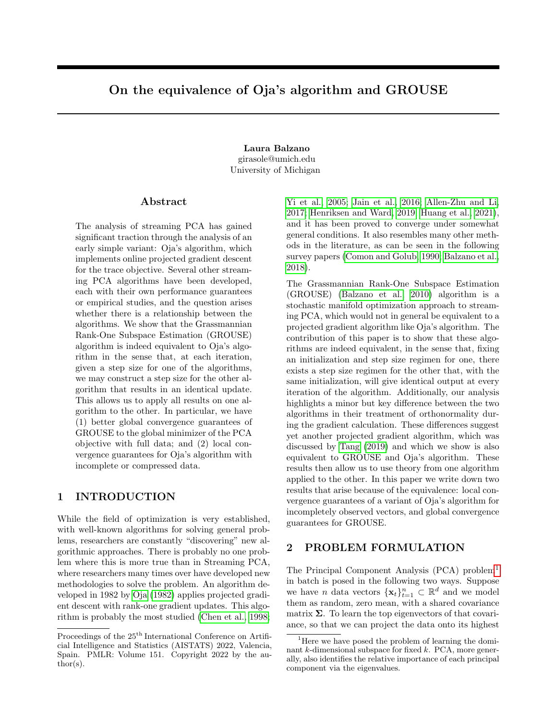# On the equivalence of Oja's algorithm and GROUSE

Laura Balzano girasole@umich.edu University of Michigan

#### Abstract

The analysis of streaming PCA has gained significant traction through the analysis of an early simple variant: Oja's algorithm, which implements online projected gradient descent for the trace objective. Several other streaming PCA algorithms have been developed, each with their own performance guarantees or empirical studies, and the question arises whether there is a relationship between the algorithms. We show that the Grassmannian Rank-One Subspace Estimation (GROUSE) algorithm is indeed equivalent to Oja's algorithm in the sense that, at each iteration, given a step size for one of the algorithms, we may construct a step size for the other algorithm that results in an identical update. This allows us to apply all results on one algorithm to the other. In particular, we have (1) better global convergence guarantees of GROUSE to the global minimizer of the PCA objective with full data; and (2) local convergence guarantees for Oja's algorithm with incomplete or compressed data.

## 1 INTRODUCTION

While the field of optimization is very established, with well-known algorithms for solving general problems, researchers are constantly "discovering" new algorithmic approaches. There is probably no one problem where this is more true than in Streaming PCA, where researchers many times over have developed new methodologies to solve the problem. An algorithm developed in 1982 by [Oja](#page-10-0) [\(1982\)](#page-10-0) applies projected gradient descent with rank-one gradient updates. This algorithm is probably the most studied [\(Chen et al., 1998;](#page-8-0) [Yi et al., 2005;](#page-10-1) [Jain et al., 2016;](#page-9-0) [Allen-Zhu and Li,](#page-8-1) [2017;](#page-8-1) [Henriksen and Ward, 2019;](#page-9-1) [Huang et al., 2021\)](#page-9-2), and it has been proved to converge under somewhat general conditions. It also resembles many other methods in the literature, as can be seen in the following survey papers [\(Comon and Golub, 1990;](#page-9-3) [Balzano et al.,](#page-8-2) [2018\)](#page-8-2).

The Grassmannian Rank-One Subspace Estimation (GROUSE) [\(Balzano et al., 2010\)](#page-8-3) algorithm is a stochastic manifold optimization approach to streaming PCA, which would not in general be equivalent to a projected gradient algorithm like Oja's algorithm. The contribution of this paper is to show that these algorithms are indeed equivalent, in the sense that, fixing an initialization and step size regimen for one, there exists a step size regimen for the other that, with the same initialization, will give identical output at every iteration of the algorithm. Additionally, our analysis highlights a minor but key difference between the two algorithms in their treatment of orthonormality during the gradient calculation. These differences suggest yet another projected gradient algorithm, which was discussed by [Tang](#page-10-2) [\(2019\)](#page-10-2) and which we show is also equivalent to GROUSE and Oja's algorithm. These results then allow us to use theory from one algorithm applied to the other. In this paper we write down two results that arise because of the equivalence: local convergence guarantees of a variant of Oja's algorithm for incompletely observed vectors, and global convergence guarantees for GROUSE.

## 2 PROBLEM FORMULATION

The Principal Component Analysis (PCA) problem[1](#page-0-0) in batch is posed in the following two ways. Suppose we have *n* data vectors  $\{\mathbf{x}_t\}_{t=1}^n \subset \mathbb{R}^d$  and we model them as random, zero mean, with a shared covariance matrix  $\Sigma$ . To learn the top eigenvectors of that covariance, so that we can project the data onto its highest

Proceedings of the  $25<sup>th</sup>$  International Conference on Artificial Intelligence and Statistics (AISTATS) 2022, Valencia, Spain. PMLR: Volume 151. Copyright 2022 by the au- $\text{thor}(s)$ .

<span id="page-0-0"></span><sup>&</sup>lt;sup>1</sup>Here we have posed the problem of learning the dominant  $k$ -dimensional subspace for fixed  $k$ . PCA, more generally, also identifies the relative importance of each principal component via the eigenvalues.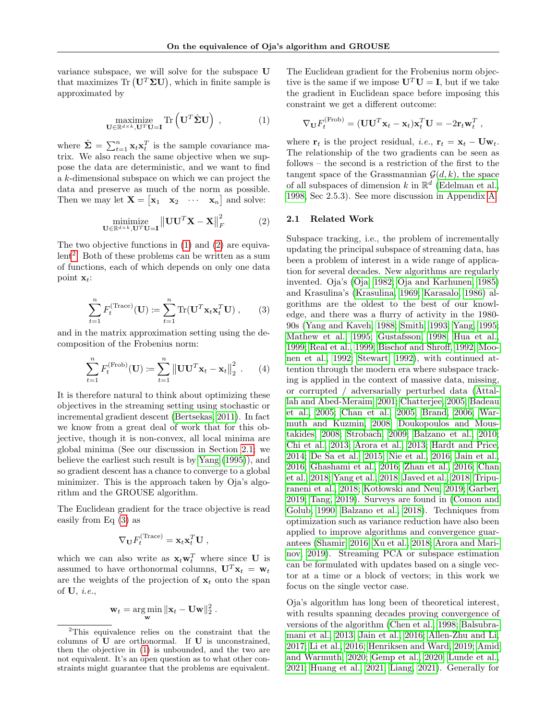variance subspace, we will solve for the subspace U that maximizes  $\text{Tr}(\mathbf{U}^T \Sigma \mathbf{U})$ , which in finite sample is approximated by

$$
\underset{\mathbf{U}\in\mathbb{R}^{d\times k},\mathbf{U}^T\mathbf{U}=\mathbf{I}}{\text{maximize}}\text{Tr}\left(\mathbf{U}^T\hat{\boldsymbol{\Sigma}}\mathbf{U}\right) ,\qquad \qquad (1)
$$

where  $\hat{\Sigma} = \sum_{t=1}^{n} \mathbf{x}_t \mathbf{x}_t^T$  is the sample covariance matrix. We also reach the same objective when we suppose the data are deterministic, and we want to find a k-dimensional subspace on which we can project the data and preserve as much of the norm as possible. Then we may let  $\mathbf{X} = \begin{bmatrix} \mathbf{x}_1 & \mathbf{x}_2 & \cdots & \mathbf{x}_n \end{bmatrix}$  and solve:

$$
\underset{\mathbf{U}\in\mathbb{R}^{d\times k},\mathbf{U}^{T}\mathbf{U}=\mathbf{I}}{\text{minimize}}\left\|\mathbf{U}\mathbf{U}^{T}\mathbf{X}-\mathbf{X}\right\|_{F}^{2} \tag{2}
$$

The two objective functions in [\(1\)](#page-1-0) and [\(2\)](#page-1-1) are equiva-lent<sup>[2](#page-1-2)</sup>. Both of these problems can be written as a sum of functions, each of which depends on only one data point  $\mathbf{x}_t$ :

<span id="page-1-4"></span>
$$
\sum_{t=1}^{n} F_t^{(\text{Trace})}(\mathbf{U}) \coloneqq \sum_{t=1}^{n} \text{Tr}(\mathbf{U}^T \mathbf{x}_t \mathbf{x}_t^T \mathbf{U}), \qquad (3)
$$

and in the matrix approximation setting using the decomposition of the Frobenius norm:

$$
\sum_{t=1}^{n} F_t^{(\text{Frob})}(\mathbf{U}) \coloneqq \sum_{t=1}^{n} ||\mathbf{U}\mathbf{U}^T \mathbf{x}_t - \mathbf{x}_t||_2^2 . \qquad (4)
$$

It is therefore natural to think about optimizing these objectives in the streaming setting using stochastic or incremental gradient descent [\(Bertsekas, 2011\)](#page-8-4). In fact we know from a great deal of work that for this objective, though it is non-convex, all local minima are global minima (See our discussion in Section [2.1;](#page-1-3) we believe the earliest such result is by [Yang](#page-10-3) [\(1995\)](#page-10-3)), and so gradient descent has a chance to converge to a global minimizer. This is the approach taken by Oja's algorithm and the GROUSE algorithm.

The Euclidean gradient for the trace objective is read easily from Eq [\(3\)](#page-1-4) as

$$
\nabla_{\mathbf{U}} F_t^{(\text{Trace})} = \mathbf{x}_t \mathbf{x}_t^T \mathbf{U} ,
$$

which we can also write as  $\mathbf{x}_t \mathbf{w}_t^T$  where since U is assumed to have orthonormal columns,  $\mathbf{U}^T \mathbf{x}_t = \mathbf{w}_t$ are the weights of the projection of  $x_t$  onto the span of  $U, i.e.,$ 

$$
\mathbf{w}_t = \argmin_{\mathbf{w}} \|\mathbf{x}_t - \mathbf{U}\mathbf{w}\|_2^2.
$$

The Euclidean gradient for the Frobenius norm objective is the same if we impose  $U^T U = I$ , but if we take the gradient in Euclidean space before imposing this constraint we get a different outcome:

$$
\nabla_{\mathbf{U}} F_t^{(\text{Frob})} = (\mathbf{U}\mathbf{U}^T \mathbf{x}_t - \mathbf{x}_t) \mathbf{x}_t^T \mathbf{U} = -2 \mathbf{r}_t \mathbf{w}_t^T,
$$

<span id="page-1-0"></span>where  $\mathbf{r}_t$  is the project residual, *i.e.*,  $\mathbf{r}_t = \mathbf{x}_t - \mathbf{U}\mathbf{w}_t$ . The relationship of the two gradients can be seen as follows – the second is a restriction of the first to the tangent space of the Grassmannian  $\mathcal{G}(d, k)$ , the space of all subspaces of dimension k in  $\mathbb{R}^d$  [\(Edelman et al.,](#page-9-4) [1998,](#page-9-4) Sec 2.5.3). See more discussion in Appendix [A.](#page-12-0)

#### <span id="page-1-3"></span><span id="page-1-1"></span>2.1 Related Work

Subspace tracking, i.e., the problem of incrementally updating the principal subspace of streaming data, has been a problem of interest in a wide range of application for several decades. New algorithms are regularly invented. Oja's [\(Oja, 1982;](#page-10-0) [Oja and Karhunen, 1985\)](#page-10-4) and Krasulina's [\(Krasulina, 1969;](#page-9-5) [Karasalo, 1986\)](#page-9-6) algorithms are the oldest to the best of our knowledge, and there was a flurry of activity in the 1980- 90s [\(Yang and Kaveh, 1988;](#page-10-5) [Smith, 1993;](#page-10-6) [Yang, 1995;](#page-10-3) [Mathew et al., 1995;](#page-10-7) [Gustafsson, 1998;](#page-9-7) [Hua et al.,](#page-9-8) [1999;](#page-9-8) [Real et al., 1999;](#page-10-8) [Bischof and Shroff, 1992;](#page-8-5) [Moo](#page-10-9)[nen et al., 1992;](#page-10-9) [Stewart, 1992\)](#page-10-10), with continued attention through the modern era where subspace tracking is applied in the context of massive data, missing, or corrupted / adversarially perturbed data [\(Attal](#page-8-6)[lah and Abed-Meraim, 2001;](#page-8-6) [Chatterjee, 2005;](#page-8-7) [Badeau](#page-8-8) [et al., 2005;](#page-8-8) [Chan et al., 2005;](#page-8-9) [Brand, 2006;](#page-8-10) [War](#page-10-11)[muth and Kuzmin, 2008;](#page-10-11) [Doukopoulos and Mous](#page-9-9)[takides, 2008;](#page-9-9) [Strobach, 2009;](#page-10-12) [Balzano et al., 2010;](#page-8-3) [Chi et al., 2013;](#page-9-10) [Arora et al., 2013;](#page-8-11) [Hardt and Price,](#page-9-11) [2014;](#page-9-11) [De Sa et al., 2015;](#page-9-12) [Nie et al., 2016;](#page-10-13) [Jain et al.,](#page-9-0) [2016;](#page-9-0) [Ghashami et al., 2016;](#page-9-13) [Zhan et al., 2016;](#page-11-0) [Chan](#page-8-12) [et al., 2018;](#page-8-12) [Yang et al., 2018;](#page-10-14) [Javed et al., 2018;](#page-9-14) [Tripu](#page-10-15)[raneni et al., 2018;](#page-10-15) Kotłowski and Neu, 2019; [Garber,](#page-9-16) [2019;](#page-9-16) [Tang, 2019\)](#page-10-2). Surveys are found in [\(Comon and](#page-9-3) [Golub, 1990;](#page-9-3) [Balzano et al., 2018\)](#page-8-2). Techniques from optimization such as variance reduction have also been applied to improve algorithms and convergence guarantees [\(Shamir, 2016;](#page-10-16) [Xu et al., 2018;](#page-10-17) [Arora and Mari](#page-8-13)[nov, 2019\)](#page-8-13). Streaming PCA or subspace estimation can be formulated with updates based on a single vector at a time or a block of vectors; in this work we focus on the single vector case.

Oja's algorithm has long been of theoretical interest, with results spanning decades proving convergence of versions of the algorithm [\(Chen et al., 1998;](#page-8-0) [Balsubra](#page-8-14)[mani et al., 2013;](#page-8-14) [Jain et al., 2016;](#page-9-0) [Allen-Zhu and Li,](#page-8-1) [2017;](#page-8-1) [Li et al., 2016;](#page-9-17) [Henriksen and Ward, 2019;](#page-9-1) [Amid](#page-8-15) [and Warmuth, 2020;](#page-8-15) [Gemp et al., 2020;](#page-9-18) [Lunde et al.,](#page-10-18) [2021;](#page-10-18) [Huang et al., 2021;](#page-9-2) [Liang, 2021\)](#page-10-19). Generally for

<span id="page-1-2"></span><sup>2</sup>This equivalence relies on the constraint that the columns of U are orthonormal. If U is unconstrained, then the objective in [\(1\)](#page-1-0) is unbounded, and the two are not equivalent. It's an open question as to what other constraints might guarantee that the problems are equivalent.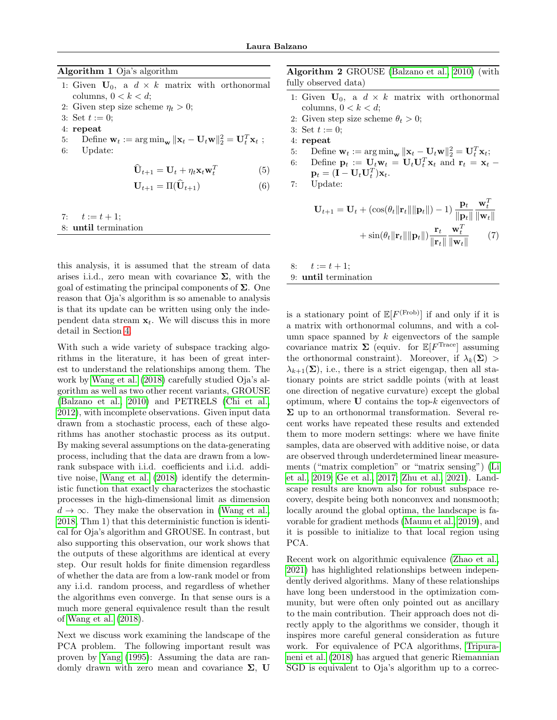| <b>Algorithm 1</b> Oja's algorithm                                                                                                |
|-----------------------------------------------------------------------------------------------------------------------------------|
| 1: Given $U_0$ , a $d \times k$ matrix with orthonormal<br>columns, $0 < k < d$ ;                                                 |
| 2: Given step size scheme $\eta_t > 0$ ;                                                                                          |
| 3: Set $t := 0$ :                                                                                                                 |
| 4: repeat                                                                                                                         |
| 5: Define $\mathbf{w}_t := \arg \min_{\mathbf{w}}   \mathbf{x}_t - \mathbf{U}_t \mathbf{w}  _2^2 = \mathbf{U}_t^T \mathbf{x}_t$ ; |
| 6: Update:                                                                                                                        |
| $\hat{\mathbf{U}}_{t+1} = \mathbf{U}_t + \eta_t \mathbf{x}_t \mathbf{w}_t^T$                                                      |

$$
\mathbf{U}_{t+1} = \Pi(\widehat{\mathbf{U}}_{t+1}) \tag{6}
$$

<span id="page-2-0"></span>7:  $t := t + 1;$ 8: until termination

this analysis, it is assumed that the stream of data arises i.i.d., zero mean with covariance  $\Sigma$ , with the goal of estimating the principal components of  $\Sigma$ . One reason that Oja's algorithm is so amenable to analysis is that its update can be written using only the independent data stream  $x_t$ . We will discuss this in more detail in Section [4.](#page-5-0)

With such a wide variety of subspace tracking algorithms in the literature, it has been of great interest to understand the relationships among them. The work by [Wang et al.](#page-10-20) [\(2018\)](#page-10-20) carefully studied Oja's algorithm as well as two other recent variants, GROUSE [\(Balzano et al., 2010\)](#page-8-3) and PETRELS [\(Chi et al.,](#page-9-19) [2012\)](#page-9-19), with incomplete observations. Given input data drawn from a stochastic process, each of these algorithms has another stochastic process as its output. By making several assumptions on the data-generating process, including that the data are drawn from a lowrank subspace with i.i.d. coefficients and i.i.d. additive noise, [Wang et al.](#page-10-20) [\(2018\)](#page-10-20) identify the deterministic function that exactly characterizes the stochastic processes in the high-dimensional limit as dimension  $d \to \infty$ . They make the observation in [\(Wang et al.,](#page-10-20) [2018,](#page-10-20) Thm 1) that this deterministic function is identical for Oja's algorithm and GROUSE. In contrast, but also supporting this observation, our work shows that the outputs of these algorithms are identical at every step. Our result holds for finite dimension regardless of whether the data are from a low-rank model or from any i.i.d. random process, and regardless of whether the algorithms even converge. In that sense ours is a much more general equivalence result than the result of [Wang et al.](#page-10-20) [\(2018\)](#page-10-20).

Next we discuss work examining the landscape of the PCA problem. The following important result was proven by [Yang](#page-10-3) [\(1995\)](#page-10-3): Assuming the data are randomly drawn with zero mean and covariance  $\Sigma$ , U <span id="page-2-1"></span>Algorithm 2 GROUSE [\(Balzano et al., 2010\)](#page-8-3) (with fully observed data)

- 1: Given  $U_0$ , a  $d \times k$  matrix with orthonormal columns,  $0 < k < d$ ;
- 2: Given step size scheme  $\theta_t > 0$ ;
- 3: Set  $t := 0$ ;
- 4: repeat
- 5: Define  $\mathbf{w}_t := \arg \min_{\mathbf{w}} \|\mathbf{x}_t \mathbf{U}_t \mathbf{w}\|_2^2 = \mathbf{U}_t^T \mathbf{x}_t;$
- <span id="page-2-2"></span>6: Define  $\mathbf{p}_t := \mathbf{U}_t \mathbf{w}_t = \mathbf{U}_t \mathbf{U}_t^T \mathbf{x}_t$  and  $\mathbf{r}_t = \mathbf{x}_t$  $\mathbf{p}_t = (\mathbf{I} - \mathbf{U}_t \mathbf{U}_t^T)\mathbf{x}_t.$

<span id="page-2-3"></span>7: Update:

<span id="page-2-4"></span>
$$
\mathbf{U}_{t+1} = \mathbf{U}_t + (\cos(\theta_t \|\mathbf{r}_t\| \|\mathbf{p}_t\|) - 1) \frac{\mathbf{p}_t}{\|\mathbf{p}_t\|} \frac{\mathbf{w}_t^T}{\|\mathbf{w}_t\|} + \sin(\theta_t \|\mathbf{r}_t\| \|\mathbf{p}_t\|) \frac{\mathbf{r}_t}{\|\mathbf{r}_t\|} \frac{\mathbf{w}_t^T}{\|\mathbf{w}_t\|} \tag{7}
$$

8:  $t := t + 1;$ 9: until termination

is a stationary point of  $\mathbb{E}[F^{(\text{Frob})}]$  if and only if it is a matrix with orthonormal columns, and with a column space spanned by  $k$  eigenvectors of the sample covariance matrix  $\Sigma$  (equiv. for  $\mathbb{E}[F^{\text{Trace}}]$  assuming the orthonormal constraint). Moreover, if  $\lambda_k(\mathbf{\Sigma})$  $\lambda_{k+1}(\mathbf{\Sigma})$ , i.e., there is a strict eigengap, then all stationary points are strict saddle points (with at least one direction of negative curvature) except the global optimum, where  **contains the top-** $k$  **eigenvectors of**  $\Sigma$  up to an orthonormal transformation. Several recent works have repeated these results and extended them to more modern settings: where we have finite samples, data are observed with additive noise, or data are observed through underdetermined linear measurements ("matrix completion" or "matrix sensing") [\(Li](#page-10-21) [et al., 2019;](#page-10-21) [Ge et al., 2017;](#page-9-20) [Zhu et al., 2021\)](#page-11-1). Landscape results are known also for robust subspace recovery, despite being both nonconvex and nonsmooth; locally around the global optima, the landscape is favorable for gradient methods [\(Maunu et al., 2019\)](#page-10-22), and it is possible to initialize to that local region using PCA.

Recent work on algorithmic equivalence [\(Zhao et al.,](#page-11-2) [2021\)](#page-11-2) has highlighted relationships between independently derived algorithms. Many of these relationships have long been understood in the optimization community, but were often only pointed out as ancillary to the main contribution. Their approach does not directly apply to the algorithms we consider, though it inspires more careful general consideration as future work. For equivalence of PCA algorithms, [Tripura](#page-10-15)[neni et al.](#page-10-15) [\(2018\)](#page-10-15) has argued that generic Riemannian SGD is equivalent to Oja's algorithm up to a correc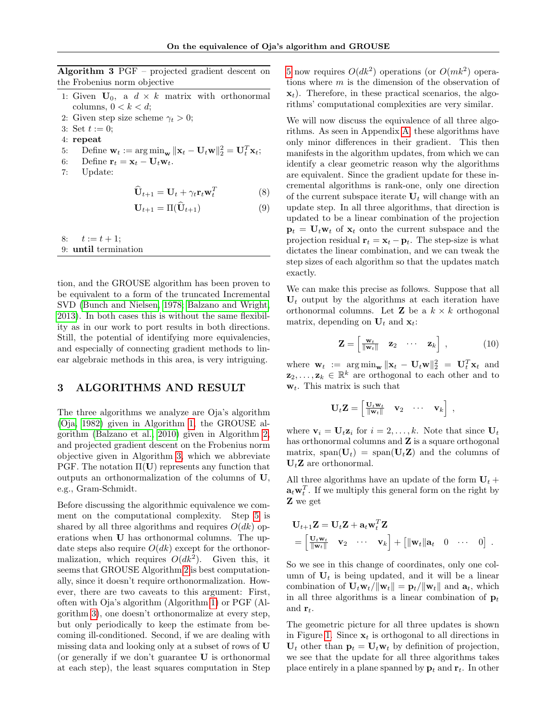<span id="page-3-0"></span>Algorithm 3 PGF – projected gradient descent on the Frobenius norm objective

- 1: Given  $U_0$ , a  $d \times k$  matrix with orthonormal columns,  $0 < k < d$ ;
- 2: Given step size scheme  $\gamma_t > 0$ ;
- 3: Set  $t := 0$ ;
- 4: repeat
- <span id="page-3-1"></span>5: Define  $\mathbf{w}_t := \arg \min_{\mathbf{w}} \|\mathbf{x}_t - \mathbf{U}_t \mathbf{w}\|_2^2 = \mathbf{U}_t^T \mathbf{x}_t;$
- 6: Define  $\mathbf{r}_t = \mathbf{x}_t \mathbf{U}_t \mathbf{w}_t$ .<br>7: Update:
- Update:

$$
\widehat{\mathbf{U}}_{t+1} = \mathbf{U}_t + \gamma_t \mathbf{r}_t \mathbf{w}_t^T
$$
 (8)

$$
\mathbf{U}_{t+1} = \Pi(\widehat{\mathbf{U}}_{t+1}) \tag{9}
$$

8:  $t := t + 1;$ 

9: until termination

tion, and the GROUSE algorithm has been proven to be equivalent to a form of the truncated Incremental SVD [\(Bunch and Nielsen, 1978;](#page-8-16) [Balzano and Wright,](#page-8-17) [2013\)](#page-8-17). In both cases this is without the same flexibility as in our work to port results in both directions. Still, the potential of identifying more equivalencies, and especially of connecting gradient methods to linear algebraic methods in this area, is very intriguing.

## 3 ALGORITHMS AND RESULT

The three algorithms we analyze are Oja's algorithm [\(Oja, 1982\)](#page-10-0) given in Algorithm [1,](#page-2-0) the GROUSE algorithm [\(Balzano et al., 2010\)](#page-8-3) given in Algorithm [2,](#page-2-1) and projected gradient descent on the Frobenius norm objective given in Algorithm [3,](#page-3-0) which we abbreviate PGF. The notation  $\Pi(U)$  represents any function that outputs an orthonormalization of the columns of U, e.g., Gram-Schmidt.

Before discussing the algorithmic equivalence we comment on the computational complexity. Step [5](#page-3-1) is shared by all three algorithms and requires  $O(dk)$  operations when U has orthonormal columns. The update steps also require  $O(dk)$  except for the orthonormalization, which requires  $O(dk^2)$ . Given this, it seems that GROUSE Algorithm [2](#page-2-1) is best computationally, since it doesn't require orthonormalization. However, there are two caveats to this argument: First, often with Oja's algorithm (Algorithm [1\)](#page-2-0) or PGF (Algorithm [3\)](#page-3-0), one doesn't orthonormalize at every step, but only periodically to keep the estimate from becoming ill-conditioned. Second, if we are dealing with missing data and looking only at a subset of rows of U (or generally if we don't guarantee U is orthonormal at each step), the least squares computation in Step

[5](#page-3-1) now requires  $O(dk^2)$  operations (or  $O(mk^2)$  operations where m is the dimension of the observation of  $\mathbf{x}_t$ ). Therefore, in these practical scenarios, the algorithms' computational complexities are very similar.

<span id="page-3-3"></span>We will now discuss the equivalence of all three algorithms. As seen in Appendix [A,](#page-12-0) these algorithms have only minor differences in their gradient. This then manifests in the algorithm updates, from which we can identify a clear geometric reason why the algorithms are equivalent. Since the gradient update for these incremental algorithms is rank-one, only one direction of the current subspace iterate  $U_t$  will change with an update step. In all three algorithms, that direction is updated to be a linear combination of the projection  $\mathbf{p}_t = \mathbf{U}_t \mathbf{w}_t$  of  $\mathbf{x}_t$  onto the current subspace and the projection residual  $\mathbf{r}_t = \mathbf{x}_t - \mathbf{p}_t$ . The step-size is what dictates the linear combination, and we can tweak the step sizes of each algorithm so that the updates match exactly.

We can make this precise as follows. Suppose that all  $U_t$  output by the algorithms at each iteration have orthonormal columns. Let **Z** be a  $k \times k$  orthogonal matrix, depending on  $U_t$  and  $x_t$ :

<span id="page-3-2"></span>
$$
\mathbf{Z} = \begin{bmatrix} \frac{\mathbf{w}_t}{\|\mathbf{w}_t\|} & \mathbf{z}_2 & \cdots & \mathbf{z}_k \end{bmatrix}, \qquad (10)
$$

where  $\mathbf{w}_t := \arg \min_{\mathbf{w}} ||\mathbf{x}_t - \mathbf{U}_t \mathbf{w}||_2^2 = \mathbf{U}_t^T \mathbf{x}_t$  and  $\mathbf{z}_2, \ldots, \mathbf{z}_k \in \mathbb{R}^k$  are orthogonal to each other and to  $\mathbf{w}_t$ . This matrix is such that

$$
\mathbf{U}_t \mathbf{Z} = \begin{bmatrix} \frac{\mathbf{U}_t \mathbf{w}_t}{\|\mathbf{w}_t\|} & \mathbf{v}_2 & \cdots & \mathbf{v}_k \end{bmatrix},
$$

where  $\mathbf{v}_i = \mathbf{U}_t \mathbf{z}_i$  for  $i = 2, \ldots, k$ . Note that since  $\mathbf{U}_t$ has orthonormal columns and  $Z$  is a square orthogonal matrix, span( $U_t$ ) = span( $U_t \mathbf{Z}$ ) and the columns of  $U_tZ$  are orthonormal.

All three algorithms have an update of the form  $U_t$  +  $\mathbf{a}_t \mathbf{w}_t^T$ . If we multiply this general form on the right by Z we get

$$
\mathbf{U}_{t+1}\mathbf{Z} = \mathbf{U}_t\mathbf{Z} + \mathbf{a}_t\mathbf{w}_t^T\mathbf{Z}
$$
  
=  $\begin{bmatrix} \mathbf{U}_t\mathbf{w}_t & \mathbf{v}_2 & \cdots & \mathbf{v}_k \end{bmatrix} + \begin{bmatrix} ||\mathbf{w}_t||\mathbf{a}_t & 0 & \cdots & 0 \end{bmatrix}.$ 

So we see in this change of coordinates, only one column of  $U_t$  is being updated, and it will be a linear combination of  $\mathbf{U}_t \mathbf{w}_t / ||\mathbf{w}_t|| = \mathbf{p}_t / ||\mathbf{w}_t||$  and  $\mathbf{a}_t$ , which in all three algorithms is a linear combination of  $\mathbf{p}_t$ and  $\mathbf{r}_t$ .

The geometric picture for all three updates is shown in Figure [1.](#page-4-0) Since  $x_t$  is orthogonal to all directions in  $U_t$  other than  $p_t = U_t w_t$  by definition of projection, we see that the update for all three algorithms takes place entirely in a plane spanned by  $\mathbf{p}_t$  and  $\mathbf{r}_t$ . In other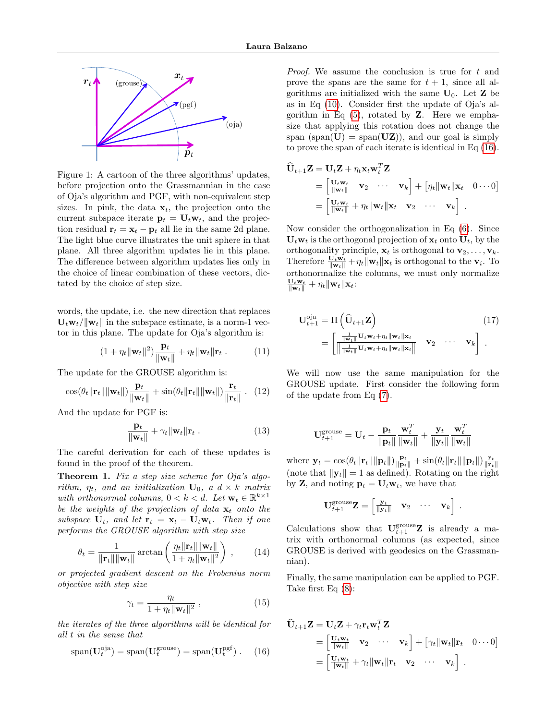

4 Conclusion

kwa $\mathcal{L}_{\mathcal{A}}$ 

<span id="page-4-0"></span>pt

tion residual  $\mathbf{r}_t = \mathbf{x}_t - \mathbf{p}_t$  all lie in the same 2d plane. Figure 1: A cartoon of the three algorithms' updates, of Oja's algorithm and PGF, with non-equivalent step  $\begin{bmatrix} \|\mathbf{w}_t\| \\ \|\mathbf{w}_t\| \end{bmatrix}$ sizes. In pink, the data  $\mathbf{x}_t$ , the projection onto the  $= \begin{vmatrix} \mathbf{U}_t \mathbf{w}_t \\ \mathbf{w}_t \end{vmatrix}$ current subspace iterate  $\mathbf{p}_t = \mathbf{U}_t \mathbf{w}_t$ , and the projec-The light blue curve illustrates the unit sphere in that  $U_t w_t$  is the orthogonal plane. All three algorithm updates lie in this plane. orthogonality princ The difference between algorithm updates lies only in tated by the choice of step size.<br> $\frac{U_t w_t}{\|w_t\|} + \eta_t \|w_t\|_{\mathbf{x}_t}$ . rigue 1. A cartoon of the time algorithms updates, before projection onto the Grassmannian in the case rithm for subspace identification from partial data. Foundations of sizes. In pink, the data  $\mathbf{x}_t$ , the projection onto the the choice of linear combination of these vectors, dic-

words, the update, i.e. the new direction that replaces  $\mathbf{U}_t \mathbf{w}_t / ||\mathbf{w}_t||$  in the subspace estimate, is a norm-1 vector in this plane. The update for Oja's algorithm is:

$$
(1 + \eta_t \|\mathbf{w}_t\|^2) \frac{\mathbf{p}_t}{\|\mathbf{w}_t\|} + \eta_t \|\mathbf{w}_t\| \mathbf{r}_t. \tag{11}
$$

The update for the GROUSE algorithm is:  $\mathbf{W}$ e will

$$
\cos(\theta_t \|\mathbf{r}_t\| \|\mathbf{w}_t\|) \frac{\mathbf{p}_t}{\|\mathbf{w}_t\|} + \sin(\theta_t \|\mathbf{r}_t\| \|\mathbf{w}_t\|) \frac{\mathbf{r}_t}{\|\mathbf{r}_t\|}. (12) \n\text{GROUSE update. First of the update from Eq (7).}
$$

And the update for PGF is:

$$
\frac{\mathbf{p}_t}{\|\mathbf{w}_t\|} + \gamma_t \|\mathbf{w}_t\| \mathbf{r}_t. \tag{13}
$$
\n
$$
\mathbf{U}_{t+1}^{\text{grouse}} = \mathbf{U}
$$

found in the proof of the theorem. Where  $y_t = \cos(\theta)$ The careful derivation for each of these updates is

**Theorem 1.** Fix a step size scheme for Oja's algo-<br> $\begin{bmatrix} \text{note that } ||\mathbf{y}_t|| = 1 \\ \text{by } \mathbf{Z} \end{bmatrix}$ rithm,  $\eta_t$ , and an initialization  $U_0$ , a  $d \times k$  matrix vith,  $\eta_t$ , and an initialization  $\mathbf{C}_0$ ,  $\mathbf{a} \cdot \mathbf{a} \times \mathbf{b}$  matrix with orthonormal columns,  $0 \leq k \leq d$ . Let  $\mathbf{w}_t \in \mathbb{R}^{k \times 1}$ be the weights of the projection of data  $x_t$  onto the  $U_{t+1}^{\alpha}$   $Z_t$ performs the GROUSE algorithm with step size Calculations show  $\mathcal{I}$  intelligence and Statistics, pages 1460–1468, 2016.  $\mathcal{I}$ subspace  $U_t$ , and let  $r_t = x_t - U_t w_t$ . Then if one

<span id="page-4-3"></span>
$$
\theta_t = \frac{1}{\|\mathbf{r}_t\| \|\mathbf{w}_t\|} \arctan\left(\frac{\eta_t \|\mathbf{r}_t\| \|\mathbf{w}_t\|}{1 + \eta_t \|\mathbf{w}_t\|^2}\right) ,\qquad(14)
$$

or projected gradient descent on the Frobenius norm objective with step size

<span id="page-4-4"></span>
$$
\gamma_t = \frac{\eta_t}{1 + \eta_t \|\mathbf{w}_t\|^2},\tag{15}
$$

the iterates of the three algorithms will be identical for all t in the sense that

<span id="page-4-1"></span>
$$
span(\mathbf{U}_t^{\text{oja}}) = span(\mathbf{U}_t^{\text{grouse}}) = span(\mathbf{U}_t^{\text{pgf}}). \quad (16)
$$

Proof. We assume the conclusion is true for t and prove the spans are the same for  $t + 1$ , since all algorithms are initialized with the same  $U_0$ . Let **Z** be as in Eq [\(10\)](#page-3-2). Consider first the update of Oja's algorithm in Eq  $(5)$ , rotated by **Z**. Here we emphasize that applying this rotation does not change the span (span( $U$ ) = span( $UZ$ )), and our goal is simply to prove the span of each iterate is identical in Eq [\(16\)](#page-4-1).

$$
\widehat{\mathbf{U}}_{t+1}\mathbf{Z} = \mathbf{U}_t \mathbf{Z} + \eta_t \mathbf{x}_t \mathbf{w}_t^T \mathbf{Z} \n= \begin{bmatrix} \mathbf{U}_t \mathbf{w}_t & \mathbf{v}_2 & \cdots & \mathbf{v}_k \end{bmatrix} + [\eta_t || \mathbf{w}_t || \mathbf{x}_t \quad 0 \cdots 0] \n= \begin{bmatrix} \mathbf{U}_t \mathbf{w}_t & \eta_t || \mathbf{w}_t || \mathbf{x}_t & \mathbf{v}_2 & \cdots & \mathbf{v}_k \end{bmatrix}.
$$

Now consider the orthogonalization in Eq [\(6\)](#page-2-3). Since  $U_t \mathbf{w}_t$  is the orthogonal projection of  $\mathbf{x}_t$  onto  $U_t$ , by the orthogonality principle,  $\mathbf{x}_t$  is orthogonal to  $\mathbf{v}_2, \ldots, \mathbf{v}_k$ . Therefore  $\frac{\mathbf{U}_t \mathbf{w}_t}{\|\mathbf{w}_t\|} + \eta_t \|\mathbf{w}_t\| \mathbf{x}_t$  is orthogonal to the  $\mathbf{v}_i$ . To orthonormalize the columns, we must only normalize  $\frac{\mathbf{U}_t \mathbf{w}_t}{\|\mathbf{w}_t\|} + \eta_t \|\mathbf{w}_t\|\mathbf{x}_t$ :

<span id="page-4-2"></span>
$$
\mathbf{U}_{t+1}^{\text{oja}} = \Pi \left( \widehat{\mathbf{U}}_{t+1} \mathbf{Z} \right) \tag{17}
$$
\n
$$
= \begin{bmatrix} \frac{1}{\|\mathbf{w}_t\|} \mathbf{U}_t \mathbf{w}_t + \eta_t \|\mathbf{w}_t\| \mathbf{x}_t \\ \frac{1}{\|\mathbf{w}_t\|} \mathbf{U}_t \mathbf{w}_t + \eta_t \|\mathbf{w}_t\| \mathbf{x}_t \end{bmatrix} \quad \mathbf{v}_2 \quad \cdots \quad \mathbf{v}_k \end{bmatrix}.
$$

 $\mathbf{CROUSE}$  update. First consider the following form We will now use the same manipulation for the

$$
\mathbf{U}_{t+1}^{\text{grouse}} = \mathbf{U}_t - \frac{\mathbf{p}_t}{\|\mathbf{p}_t\|} \frac{\mathbf{w}_t^T}{\|\mathbf{w}_t\|} + \frac{\mathbf{y}_t}{\|\mathbf{y}_t\|} \frac{\mathbf{w}_t^T}{\|\mathbf{w}_t\|}
$$

where  $\mathbf{y}_t = \cos(\theta_t \|\mathbf{r}_t\| \|\mathbf{p}_t\|) \frac{\mathbf{p}_t}{\|\mathbf{p}_t\|} + \sin(\theta_t \|\mathbf{r}_t\| \|\mathbf{p}_t\|) \frac{\mathbf{r}_t}{\|\mathbf{r}_t\|}$ (note that  $\|\mathbf{y}_t\| = 1$  as defined). Rotating on the right by **Z**, and noting  $\mathbf{p}_t = \mathbf{U}_t \mathbf{w}_t$ , we have that

$$
\mathbf{U}_{t+1}^{\text{grouse}}\mathbf{Z} = \begin{bmatrix} \frac{\mathbf{y}_t}{\|\mathbf{y}_t\|} & \mathbf{v}_2 & \cdots & \mathbf{v}_k \end{bmatrix}.
$$

Calculations show that  $\mathbf{U}_{t+1}^{\text{grouse}}\mathbf{Z}$  is already a matrix with orthonormal columns (as expected, since GROUSE is derived with geodesics on the Grassmannian).

Finally, the same manipulation can be applied to PGF. Take first Eq [\(8\)](#page-3-3):

$$
\widehat{\mathbf{U}}_{t+1}\mathbf{Z} = \mathbf{U}_t\mathbf{Z} + \gamma_t\mathbf{r}_t\mathbf{w}_t^T\mathbf{Z}
$$
\n
$$
= \begin{bmatrix}\n\frac{\mathbf{U}_t\mathbf{w}_t}{\|\mathbf{w}_t\|} & \mathbf{v}_2 & \cdots & \mathbf{v}_k\n\end{bmatrix} + [\gamma_t \|\mathbf{w}_t\|\mathbf{r}_t & 0 \cdots 0]
$$
\n
$$
= \begin{bmatrix}\n\frac{\mathbf{U}_t\mathbf{w}_t}{\|\mathbf{w}_t\|} + \gamma_t \|\mathbf{w}_t\|\mathbf{r}_t & \mathbf{v}_2 & \cdots & \mathbf{v}_k\n\end{bmatrix}.
$$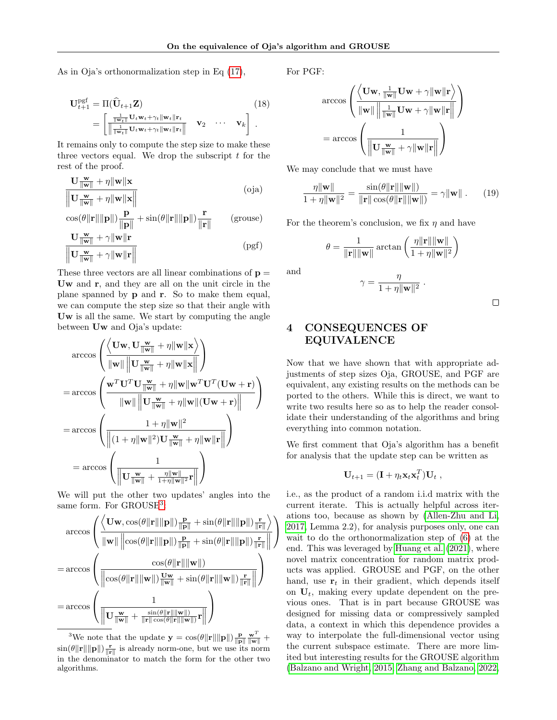As in Oja's orthonormalization step in Eq [\(17\)](#page-4-2),

$$
\mathbf{U}_{t+1}^{\text{pgf}} = \Pi(\widehat{\mathbf{U}}_{t+1} \mathbf{Z}) \qquad (18)
$$
\n
$$
= \begin{bmatrix}\n\frac{1}{\|\mathbf{w}_{t}\|} \mathbf{U}_{t} \mathbf{w}_{t} + \gamma_{t} \|\mathbf{w}_{t}\| \mathbf{r}_{t}}{\|\frac{1}{\|\mathbf{w}_{t}\|} \mathbf{U}_{t} \mathbf{w}_{t} + \gamma_{t} \|\mathbf{w}_{t}\| \mathbf{r}_{t}}\n\end{bmatrix} \mathbf{v}_{2} \cdots \mathbf{v}_{k}.
$$

It remains only to compute the step size to make these three vectors equal. We drop the subscript  $t$  for the rest of the proof.

$$
\frac{\mathbf{U}\frac{\mathbf{w}}{\|\mathbf{w}\|} + \eta \|\mathbf{w}\| \mathbf{x}}{\|\mathbf{U}\frac{\mathbf{w}}{\|\mathbf{w}\|} + \eta \|\mathbf{w}\| \mathbf{x}\|}
$$
(oja)

$$
\|\nabla \|\mathbf{w}\| + \eta \|\mathbf{w}\|\mathbf{A}\|
$$
  
\n
$$
\cos(\theta \|\mathbf{r}\|\|\mathbf{p}\|) \frac{\mathbf{p}}{\|\mathbf{p}\|} + \sin(\theta \|\mathbf{r}\|\|\mathbf{p}\|) \frac{\mathbf{r}}{\|\mathbf{r}\|}
$$
 (grouse)  
\n
$$
\mathbf{U} \frac{\mathbf{w}}{\|\mathbf{w}\|} + \gamma \|\mathbf{w}\|\mathbf{r}
$$

$$
\frac{\mathbf{C} \|\mathbf{w}\| + \gamma \|\mathbf{w}\| \mathbf{r}}{\|\mathbf{U}\| \mathbf{w}\| + \gamma \|\mathbf{w}\| \mathbf{r}\|}
$$
 (pgf)

These three vectors are all linear combinations of  $\mathbf{p} =$ Uw and r, and they are all on the unit circle in the plane spanned by p and r. So to make them equal, we can compute the step size so that their angle with Uw is all the same. We start by computing the angle between Uw and Oja's update:

$$
\arccos\left(\frac{\left\langle\mathbf{U}\mathbf{w},\mathbf{U}\frac{\mathbf{w}}{\|\mathbf{w}\|}+\eta\|\mathbf{w}\|\mathbf{x}\right\rangle}{\|\mathbf{w}\|\|\mathbf{U}\frac{\mathbf{w}}{\|\mathbf{w}\|}+\eta\|\mathbf{w}\|\mathbf{x}}\right|\right)
$$
\n
$$
=\arccos\left(\frac{\mathbf{w}^T\mathbf{U}^T\mathbf{U}\frac{\mathbf{w}}{\|\mathbf{w}\|}+\eta\|\mathbf{w}\|\mathbf{w}^T\mathbf{U}^T(\mathbf{U}\mathbf{w}+\mathbf{r})}{\|\mathbf{w}\|\|\mathbf{U}\frac{\mathbf{w}}{\|\mathbf{w}\|}+\eta\|\mathbf{w}\|(\mathbf{U}\mathbf{w}+\mathbf{r})}\right)
$$
\n
$$
=\arccos\left(\frac{1+\eta\|\mathbf{w}\|^2}{\|(1+\eta\|\mathbf{w}\|^2)\mathbf{U}\frac{\mathbf{w}}{\|\mathbf{w}\|}+\eta\|\mathbf{w}\|\mathbf{r}\|}\right)
$$
\n
$$
=\arccos\left(\frac{1}{\|\mathbf{U}\frac{\mathbf{w}}{\|\mathbf{w}\|}+\frac{\eta\|\mathbf{w}\|}{1+\eta\|\mathbf{w}\|^2}\mathbf{r}\|}\right)
$$

We will put the other two updates' angles into the same form. For GROUSE<sup>[3](#page-5-1)</sup>:

$$
\operatorname{arccos}\left(\frac{\left\langle \mathbf{U} \mathbf{w}, \cos(\theta \|\mathbf{r}\|\|\mathbf{p}\|) \frac{\mathbf{p}}{\|\mathbf{p}\|} + \sin(\theta \|\mathbf{r}\|\|\mathbf{p}\|) \frac{\mathbf{r}}{\|\mathbf{r}\|}}{\|\mathbf{w}\| \|\cos(\theta \|\mathbf{r}\|\|\mathbf{p}\|) \frac{\mathbf{p}}{\|\mathbf{p}\|} + \sin(\theta \|\mathbf{r}\|\|\mathbf{p}\|) \frac{\mathbf{r}}{\|\mathbf{r}\|}\|}}\right)\right)\\ =\arccos\left(\frac{\cos(\theta \|\mathbf{r}\|\|\mathbf{w}\|)}{\left\|\cos(\theta \|\mathbf{r}\|\|\mathbf{w}\|) \frac{\mathbf{U} \mathbf{w}}{\|\mathbf{w}\|} + \sin(\theta \|\mathbf{r}\|\|\mathbf{w}\|) \frac{\mathbf{r}}{\|\mathbf{r}\|}\|}\right)}\right)\\ =\arccos\left(\frac{1}{\left\|\mathbf{U} \frac{\mathbf{w}}{\|\mathbf{w}\|} + \frac{\sin(\theta \|\mathbf{r}\|\|\mathbf{w}\|)}{\|\mathbf{r}\| \cos(\theta \|\mathbf{r}\|\|\mathbf{w}\|)}\mathbf{r}\|}\right)\right)
$$

<span id="page-5-1"></span><sup>3</sup>We note that the update  $\mathbf{y} = \cos(\theta \|\mathbf{r}\| \|\mathbf{p}\|) \frac{\mathbf{p}}{\|\mathbf{p}\|} \frac{\mathbf{w}^T}{\|\mathbf{w}\|} +$  $\sin(\theta \|\mathbf{r}\| \|\mathbf{p}\|) \frac{\mathbf{r}}{\|\mathbf{r}\|}$  is already norm-one, but we use its norm in the denominator to match the form for the other two algorithms.

For PGF:

$$
\operatorname{arccos}\left(\frac{\left\langle \mathbf{Uw}, \frac{1}{\|\mathbf{w}\|} \mathbf{Uw} + \gamma \|\mathbf{w}\| \mathbf{r} \right\rangle}{\|\mathbf{w}\| \|\frac{1}{\|\mathbf{w}\|} \mathbf{Uw} + \gamma \|\mathbf{w}\| \mathbf{r} \|}\right) \\ = \operatorname{arccos}\left(\frac{1}{\left\|\mathbf{U} \frac{\mathbf{w}}{\|\mathbf{w}\|} + \gamma \|\mathbf{w}\| \mathbf{r} \|}\right)}\right)
$$

We may conclude that we must have

$$
\frac{\eta \|\mathbf{w}\|}{1 + \eta \|\mathbf{w}\|^2} = \frac{\sin(\theta \|\mathbf{r}\| \|\mathbf{w}\|)}{\|\mathbf{r}\| \cos(\theta \|\mathbf{r}\| \|\mathbf{w}\|)} = \gamma \|\mathbf{w}\|.
$$
 (19)

For the theorem's conclusion, we fix  $\eta$  and have

$$
\theta = \frac{1}{\|\mathbf{r}\| \|\mathbf{w}\|} \arctan\left(\frac{\eta \|\mathbf{r}\| \|\mathbf{w}\|}{1 + \eta \|\mathbf{w}\|^2}\right)
$$

and

$$
\gamma = \frac{\eta}{1 + \eta \|\mathbf{w}\|^2} \; .
$$

 $\Box$ 

# <span id="page-5-0"></span>4 CONSEQUENCES OF EQUIVALENCE

Now that we have shown that with appropriate adjustments of step sizes Oja, GROUSE, and PGF are equivalent, any existing results on the methods can be ported to the others. While this is direct, we want to write two results here so as to help the reader consolidate their understanding of the algorithms and bring everything into common notation.

We first comment that Oja's algorithm has a benefit for analysis that the update step can be written as

$$
\mathbf{U}_{t+1} = (\mathbf{I} + \eta_t \mathbf{x}_t \mathbf{x}_t^T) \mathbf{U}_t ,
$$

i.e., as the product of a random i.i.d matrix with the current iterate. This is actually helpful across iterations too, because as shown by [\(Allen-Zhu and Li,](#page-8-1) [2017,](#page-8-1) Lemma 2.2), for analysis purposes only, one can wait to do the orthonormalization step of [\(6\)](#page-2-3) at the end. This was leveraged by [Huang et al.](#page-9-2) [\(2021\)](#page-9-2), where novel matrix concentration for random matrix products was applied. GROUSE and PGF, on the other hand, use  $r_t$  in their gradient, which depends itself on  $U_t$ , making every update dependent on the previous ones. That is in part because GROUSE was designed for missing data or compressively sampled data, a context in which this dependence provides a way to interpolate the full-dimensional vector using the current subspace estimate. There are more limited but interesting results for the GROUSE algorithm [\(Balzano and Wright, 2015;](#page-8-18) [Zhang and Balzano, 2022,](#page-11-3)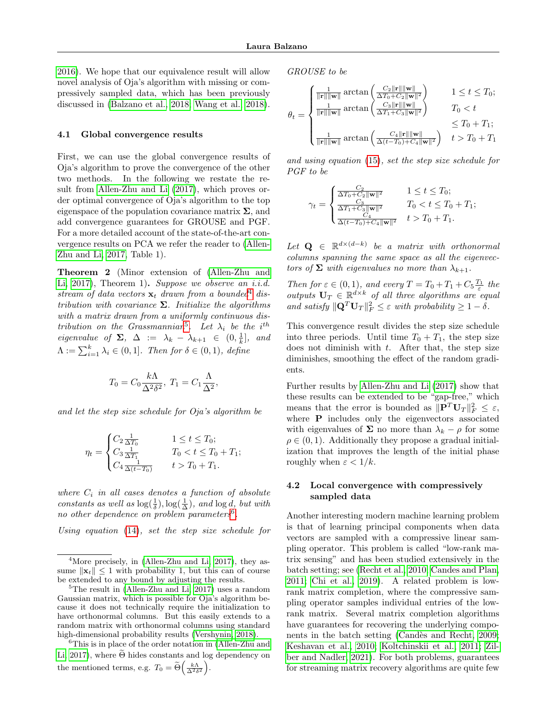[2016\)](#page-11-4). We hope that our equivalence result will allow novel analysis of Oja's algorithm with missing or compressively sampled data, which has been previously discussed in [\(Balzano et al., 2018;](#page-8-2) [Wang et al., 2018\)](#page-10-20).

#### 4.1 Global convergence results

First, we can use the global convergence results of Oja's algorithm to prove the convergence of the other two methods. In the following we restate the result from [Allen-Zhu and Li](#page-8-1) [\(2017\)](#page-8-1), which proves order optimal convergence of Oja's algorithm to the top eigenspace of the population covariance matrix  $\Sigma$ , and add convergence guarantees for GROUSE and PGF. For a more detailed account of the state-of-the-art convergence results on PCA we refer the reader to [\(Allen-](#page-8-1)[Zhu and Li, 2017,](#page-8-1) Table 1).

<span id="page-6-3"></span>Theorem 2 (Minor extension of [\(Allen-Zhu and](#page-8-1) [Li, 2017\)](#page-8-1), Theorem 1). Suppose we observe an i.i.d. stream of data vectors  $x_t$  drawn from a bounded<sup>[4](#page-6-0)</sup> distribution with covariance  $\Sigma$ . Initialize the algorithms with a matrix drawn from a uniformly continuous dis-tribution on the Grassmannian<sup>[5](#page-6-1)</sup>. Let  $\lambda_i$  be the i<sup>th</sup> *eigenvalue of*  $\Sigma$ ,  $\Delta := \lambda_k - \lambda_{k+1} \in (0, \frac{1}{k}],$  and  $\Lambda := \sum_{i=1}^{k} \lambda_i \in (0,1]$ . Then for  $\delta \in (0,1)$ , define

$$
T_0 = C_0 \frac{k\Lambda}{\Delta^2 \delta^2}, \ T_1 = C_1 \frac{\Lambda}{\Delta^2},
$$

and let the step size schedule for Oja's algorithm be

$$
\eta_t = \begin{cases} C_2 \frac{1}{\Delta T_0} & 1 \le t \le T_0; \\ C_3 \frac{1}{\Delta T_1} & T_0 < t \le T_0 + T_1; \\ C_4 \frac{1}{\Delta (t - T_0)} & t > T_0 + T_1. \end{cases}
$$

where  $C_i$  in all cases denotes a function of absolute constants as well as  $\log(\frac{1}{\delta}), \log(\frac{1}{\Delta})$ , and  $\log d$ , but with no other dependence on problem parameters<sup>[6](#page-6-2)</sup>.

Using equation [\(14\)](#page-4-3), set the step size schedule for

GROUSE to be

$$
\theta_t = \begin{cases} \frac{1}{\|\mathbf{r}\|\|\mathbf{w}\|} \arctan\left(\frac{C_2 \|\mathbf{r}\|\|\mathbf{w}\|}{\Delta T_0 + C_2 \|\mathbf{w}\|^2}\right) & 1 \leq t \leq T_0; \\ \frac{1}{\|\mathbf{r}\|\|\mathbf{w}\|} \arctan\left(\frac{C_3 \|\mathbf{r}\|\|\mathbf{w}\|}{\Delta T_1 + C_3 \|\mathbf{w}\|^2}\right) & T_0 < t \\ \frac{1}{\|\mathbf{r}\|\|\mathbf{w}\|} \arctan\left(\frac{C_4 \|\mathbf{r}\|\|\mathbf{w}\|}{\Delta (t-T_0) + C_4 \|\mathbf{w}\|^2}\right) & t > T_0 + T_1; \\ \end{cases}
$$

and using equation [\(15\)](#page-4-4), set the step size schedule for PGF to be

$$
\gamma_t = \begin{cases} \frac{C_2}{\Delta T_0 + C_2 \|\mathbf{w}\|^2} & 1 \le t \le T_0; \\ \frac{C_3}{\Delta T_1 + C_3 \|\mathbf{w}\|^2} & T_0 < t \le T_0 + T_1; \\ \frac{C_4}{\Delta (t - T_0) + C_4 \|\mathbf{w}\|^2} & t > T_0 + T_1. \end{cases}
$$

Let  $\mathbf{Q} \in \mathbb{R}^{d \times (d-k)}$  be a matrix with orthonormal columns spanning the same space as all the eigenvectors of  $\Sigma$  with eigenvalues no more than  $\lambda_{k+1}$ .

Then for  $\varepsilon \in (0,1)$ , and every  $T = T_0 + T_1 + C_5 \frac{T_1}{\varepsilon}$  the outputs  $\mathbf{U}_T \in \mathbb{R}^{d \times k}$  of all three algorithms are equal and satisfy  $\|\mathbf{Q}^T \mathbf{U}_T\|_F^2 \leq \varepsilon$  with probability  $\geq 1-\delta$ .

This convergence result divides the step size schedule into three periods. Until time  $T_0 + T_1$ , the step size does not diminish with  $t$ . After that, the step size diminishes, smoothing the effect of the random gradients.

Further results by [Allen-Zhu and Li](#page-8-1) [\(2017\)](#page-8-1) show that these results can be extended to be "gap-free," which means that the error is bounded as  $\|\mathbf{P}^T\mathbf{U}_T\|_F^2 \leq \varepsilon$ , where **P** includes only the eigenvectors associated with eigenvalues of  $\Sigma$  no more than  $\lambda_k - \rho$  for some  $\rho \in (0, 1)$ . Additionally they propose a gradual initialization that improves the length of the initial phase roughly when  $\varepsilon < 1/k$ .

### 4.2 Local convergence with compressively sampled data

Another interesting modern machine learning problem is that of learning principal components when data vectors are sampled with a compressive linear sampling operator. This problem is called "low-rank matrix sensing" and has been studied extensively in the batch setting; see [\(Recht et al., 2010;](#page-10-24) [Candes and Plan,](#page-8-19) [2011;](#page-8-19) [Chi et al., 2019\)](#page-9-21). A related problem is lowrank matrix completion, where the compressive sampling operator samples individual entries of the lowrank matrix. Several matrix completion algorithms have guarantees for recovering the underlying components in the batch setting (Candès and Recht, 2009; [Keshavan et al., 2010;](#page-9-22) [Koltchinskii et al., 2011;](#page-9-23) [Zil](#page-11-5)[ber and Nadler, 2021\)](#page-11-5). For both problems, guarantees for streaming matrix recovery algorithms are quite few

<span id="page-6-0"></span><sup>&</sup>lt;sup>4</sup>More precisely, in [\(Allen-Zhu and Li, 2017\)](#page-8-1), they assume  $\|\mathbf{x}_t\| \leq 1$  with probability 1, but this can of course be extended to any bound by adjusting the results.

<span id="page-6-1"></span> $5$ The result in [\(Allen-Zhu and Li, 2017\)](#page-8-1) uses a random Gaussian matrix, which is possible for Oja's algorithm because it does not technically require the initialization to have orthonormal columns. But this easily extends to a random matrix with orthonormal columns using standard high-dimensional probability results [\(Vershynin, 2018\)](#page-10-23).

<span id="page-6-2"></span><sup>&</sup>lt;sup>6</sup>This is in place of the order notation in [\(Allen-Zhu and](#page-8-1) [Li, 2017\)](#page-8-1), where  $\Theta$  hides constants and log dependency on the mentioned terms, e.g.  $T_0 = \widetilde{\Theta}\left(\frac{k\Lambda}{\Delta^2 \delta^2}\right)$ .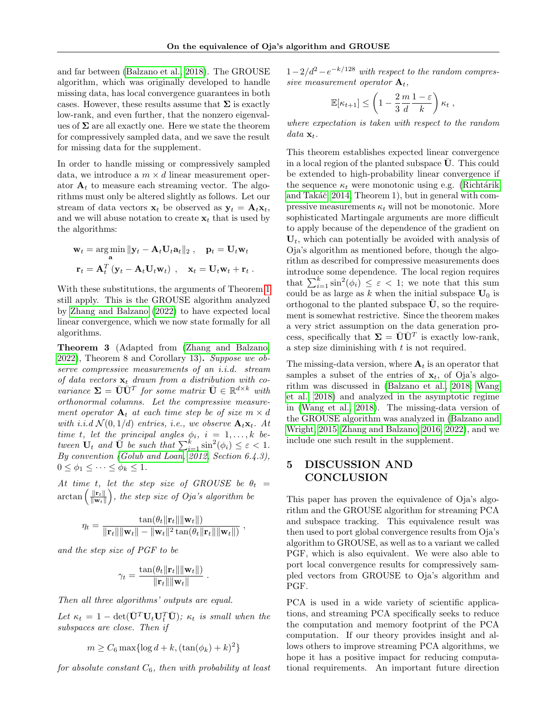and far between [\(Balzano et al., 2018\)](#page-8-2). The GROUSE algorithm, which was originally developed to handle missing data, has local convergence guarantees in both cases. However, these results assume that  $\Sigma$  is exactly low-rank, and even further, that the nonzero eigenvalues of  $\Sigma$  are all exactly one. Here we state the theorem for compressively sampled data, and we save the result for missing data for the supplement.

In order to handle missing or compressively sampled data, we introduce a  $m \times d$  linear measurement operator  $A_t$  to measure each streaming vector. The algorithms must only be altered slightly as follows. Let our stream of data vectors  $\mathbf{x}_t$  be observed as  $\mathbf{y}_t = \mathbf{A}_t \mathbf{x}_t$ , and we will abuse notation to create  $x_t$  that is used by the algorithms:

$$
\mathbf{w}_t = \underset{\mathbf{a}}{\arg\min} \|\mathbf{y}_t - \mathbf{A}_t \mathbf{U}_t \mathbf{a}_t\|_2 , \quad \mathbf{p}_t = \mathbf{U}_t \mathbf{w}_t
$$

$$
\mathbf{r}_t = \mathbf{A}_t^T \left(\mathbf{y}_t - \mathbf{A}_t \mathbf{U}_t \mathbf{w}_t\right) , \quad \mathbf{x}_t = \mathbf{U}_t \mathbf{w}_t + \mathbf{r}_t .
$$

With these substitutions, the arguments of Theorem [1](#page-4-1) still apply. This is the GROUSE algorithm analyzed by [Zhang and Balzano](#page-11-3) [\(2022\)](#page-11-3) to have expected local linear convergence, which we now state formally for all algorithms.

<span id="page-7-0"></span>Theorem 3 (Adapted from [\(Zhang and Balzano,](#page-11-3) [2022\)](#page-11-3), Theorem 8 and Corollary 13). Suppose we observe compressive measurements of an i.i.d. stream of data vectors  $x_t$  drawn from a distribution with covariance  $\Sigma = \overline{\mathbf{U}} \overline{\mathbf{U}}^T$  for some matrix  $\overline{\mathbf{U}} \in \mathbb{R}^{d \times k}$  with orthonormal columns. Let the compressive measurement operator  $A_t$  at each time step be of size  $m \times d$ with i.i.d  $\mathcal{N}(0, 1/d)$  entries, i.e., we observe  $\mathbf{A}_t \mathbf{x}_t$ . At time t, let the principal angles  $\phi_i$ ,  $i = 1, \ldots, k$  between  $\mathbf{U}_t$  and  $\overline{\mathbf{U}}$  be such that  $\sum_{i=1}^k \sin^2(\phi_i) \leq \varepsilon < 1$ . By convention [\(Golub and Loan, 2012,](#page-9-24) Section 6.4.3),  $0 \leq \phi_1 \leq \cdots \leq \phi_k \leq 1.$ 

At time t, let the step size of GROUSE be  $\theta_t =$  $\arctan\left(\frac{\|\mathbf{r}_t\|}{\|\mathbf{w}_t\|}\right)$  $\|\mathbf{w}_t\|$ ), the step size of  $Oja$ 's algorithm be

$$
\eta_t = \frac{\tan(\theta_t \|\mathbf{r}_t\| \|\mathbf{w}_t\|)}{\|\mathbf{r}_t\| \|\mathbf{w}_t\| - \|\mathbf{w}_t\|^2 \tan(\theta_t \|\mathbf{r}_t\| \|\mathbf{w}_t\|)}
$$

,

and the step size of PGF to be

$$
\gamma_t = \frac{\tan(\theta_t \|\mathbf{r}_t\| \|\mathbf{w}_t\|)}{\|\mathbf{r}_t\| \|\mathbf{w}_t\|}
$$

.

Then all three algorithms' outputs are equal.

Let  $\kappa_t = 1 - \det(\bar{\mathbf{U}}^T \mathbf{U}_t \mathbf{U}_t^T \bar{\mathbf{U}})$ ;  $\kappa_t$  is small when the subspaces are close. Then if

$$
m \ge C_6 \max\{\log d + k, (\tan(\phi_k) + k)^2\}
$$

for absolute constant  $C_6$ , then with probability at least

 $1-2/d^2-e^{-k/128}$  with respect to the random compressive measurement operator  $A_t$ ,

$$
\mathbb{E}[\kappa_{t+1}] \le \left(1 - \frac{2}{3}\frac{m}{d}\frac{1-\varepsilon}{k}\right)\kappa_t,
$$

where expectation is taken with respect to the random data  $\mathbf{x}_t$ .

This theorem establishes expected linear convergence in a local region of the planted subspace U. This could be extended to high-probability linear convergence if the sequence  $\kappa_t$  were monotonic using e.g. (Richtárik and Takáč, 2014, Theorem 1), but in general with compressive measurements  $\kappa_t$  will not be monotonic. More sophisticated Martingale arguments are more difficult to apply because of the dependence of the gradient on  $U_t$ , which can potentially be avoided with analysis of Oja's algorithm as mentioned before, though the algorithm as described for compressive measurements does introduce some dependence. The local region requires that  $\sum_{i=1}^{k} \sin^2(\phi_i) \leq \varepsilon < 1$ ; we note that this sum could be as large as k when the initial subspace  $U_0$  is orthogonal to the planted subspace  $\bar{U}$ , so the requirement is somewhat restrictive. Since the theorem makes a very strict assumption on the data generation process, specifically that  $\Sigma = \overline{U} \overline{U}^T$  is exactly low-rank, a step size diminishing with  $t$  is not required.

The missing-data version, where  $A_t$  is an operator that samples a subset of the entries of  $x_t$ , of Oja's algorithm was discussed in [\(Balzano et al., 2018;](#page-8-2) [Wang](#page-10-20) [et al., 2018\)](#page-10-20) and analyzed in the asymptotic regime in [\(Wang et al., 2018\)](#page-10-20). The missing-data version of the GROUSE algorithm was analyzed in [\(Balzano and](#page-8-18) [Wright, 2015;](#page-8-18) [Zhang and Balzano, 2016,](#page-11-4) [2022\)](#page-11-3), and we include one such result in the supplement.

## 5 DISCUSSION AND CONCLUSION

This paper has proven the equivalence of Oja's algorithm and the GROUSE algorithm for streaming PCA and subspace tracking. This equivalence result was then used to port global convergence results from Oja's algorithm to GROUSE, as well as to a variant we called PGF, which is also equivalent. We were also able to port local convergence results for compressively sampled vectors from GROUSE to Oja's algorithm and PGF.

PCA is used in a wide variety of scientific applications, and streaming PCA specifically seeks to reduce the computation and memory footprint of the PCA computation. If our theory provides insight and allows others to improve streaming PCA algorithms, we hope it has a positive impact for reducing computational requirements. An important future direction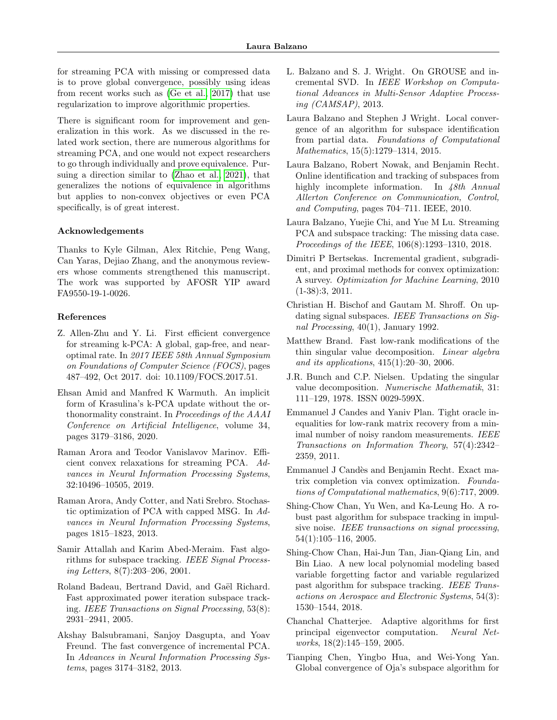for streaming PCA with missing or compressed data is to prove global convergence, possibly using ideas from recent works such as [\(Ge et al., 2017\)](#page-9-20) that use regularization to improve algorithmic properties.

There is significant room for improvement and generalization in this work. As we discussed in the related work section, there are numerous algorithms for streaming PCA, and one would not expect researchers to go through individually and prove equivalence. Pursuing a direction similar to [\(Zhao et al., 2021\)](#page-11-2), that generalizes the notions of equivalence in algorithms but applies to non-convex objectives or even PCA specifically, is of great interest.

#### Acknowledgements

Thanks to Kyle Gilman, Alex Ritchie, Peng Wang, Can Yaras, Dejiao Zhang, and the anonymous reviewers whose comments strengthened this manuscript. The work was supported by AFOSR YIP award FA9550-19-1-0026.

#### References

- <span id="page-8-1"></span>Z. Allen-Zhu and Y. Li. First efficient convergence for streaming k-PCA: A global, gap-free, and nearoptimal rate. In 2017 IEEE 58th Annual Symposium on Foundations of Computer Science (FOCS), pages 487–492, Oct 2017. doi: 10.1109/FOCS.2017.51.
- <span id="page-8-15"></span>Ehsan Amid and Manfred K Warmuth. An implicit form of Krasulina's k-PCA update without the orthonormality constraint. In Proceedings of the AAAI Conference on Artificial Intelligence, volume 34, pages 3179–3186, 2020.
- <span id="page-8-13"></span>Raman Arora and Teodor Vanislavov Marinov. Efficient convex relaxations for streaming PCA. Advances in Neural Information Processing Systems, 32:10496–10505, 2019.
- <span id="page-8-11"></span>Raman Arora, Andy Cotter, and Nati Srebro. Stochastic optimization of PCA with capped MSG. In Advances in Neural Information Processing Systems, pages 1815–1823, 2013.
- <span id="page-8-6"></span>Samir Attallah and Karim Abed-Meraim. Fast algorithms for subspace tracking. IEEE Signal Processing Letters, 8(7):203–206, 2001.
- <span id="page-8-8"></span>Roland Badeau, Bertrand David, and Gaël Richard. Fast approximated power iteration subspace tracking. IEEE Transactions on Signal Processing, 53(8): 2931–2941, 2005.
- <span id="page-8-14"></span>Akshay Balsubramani, Sanjoy Dasgupta, and Yoav Freund. The fast convergence of incremental PCA. In Advances in Neural Information Processing Systems, pages 3174–3182, 2013.
- <span id="page-8-17"></span>L. Balzano and S. J. Wright. On GROUSE and incremental SVD. In IEEE Workshop on Computational Advances in Multi-Sensor Adaptive Processing (CAMSAP), 2013.
- <span id="page-8-18"></span>Laura Balzano and Stephen J Wright. Local convergence of an algorithm for subspace identification from partial data. Foundations of Computational Mathematics, 15(5):1279–1314, 2015.
- <span id="page-8-3"></span>Laura Balzano, Robert Nowak, and Benjamin Recht. Online identification and tracking of subspaces from highly incomplete information. In 48th Annual Allerton Conference on Communication, Control, and Computing, pages 704–711. IEEE, 2010.
- <span id="page-8-2"></span>Laura Balzano, Yuejie Chi, and Yue M Lu. Streaming PCA and subspace tracking: The missing data case. Proceedings of the IEEE, 106(8):1293–1310, 2018.
- <span id="page-8-4"></span>Dimitri P Bertsekas. Incremental gradient, subgradient, and proximal methods for convex optimization: A survey. Optimization for Machine Learning, 2010 (1-38):3, 2011.
- <span id="page-8-5"></span>Christian H. Bischof and Gautam M. Shroff. On updating signal subspaces. IEEE Transactions on Signal Processing, 40(1), January 1992.
- <span id="page-8-10"></span>Matthew Brand. Fast low-rank modifications of the thin singular value decomposition. Linear algebra and its applications, 415(1):20–30, 2006.
- <span id="page-8-16"></span>J.R. Bunch and C.P. Nielsen. Updating the singular value decomposition. Numerische Mathematik, 31: 111–129, 1978. ISSN 0029-599X.
- <span id="page-8-19"></span>Emmanuel J Candes and Yaniv Plan. Tight oracle inequalities for low-rank matrix recovery from a minimal number of noisy random measurements. IEEE Transactions on Information Theory, 57(4):2342– 2359, 2011.
- <span id="page-8-20"></span>Emmanuel J Candès and Benjamin Recht. Exact matrix completion via convex optimization. Foundations of Computational mathematics, 9(6):717, 2009.
- <span id="page-8-9"></span>Shing-Chow Chan, Yu Wen, and Ka-Leung Ho. A robust past algorithm for subspace tracking in impulsive noise. IEEE transactions on signal processing, 54(1):105–116, 2005.
- <span id="page-8-12"></span>Shing-Chow Chan, Hai-Jun Tan, Jian-Qiang Lin, and Bin Liao. A new local polynomial modeling based variable forgetting factor and variable regularized past algorithm for subspace tracking. IEEE Transactions on Aerospace and Electronic Systems, 54(3): 1530–1544, 2018.
- <span id="page-8-7"></span>Chanchal Chatterjee. Adaptive algorithms for first principal eigenvector computation. Neural Networks, 18(2):145–159, 2005.
- <span id="page-8-0"></span>Tianping Chen, Yingbo Hua, and Wei-Yong Yan. Global convergence of Oja's subspace algorithm for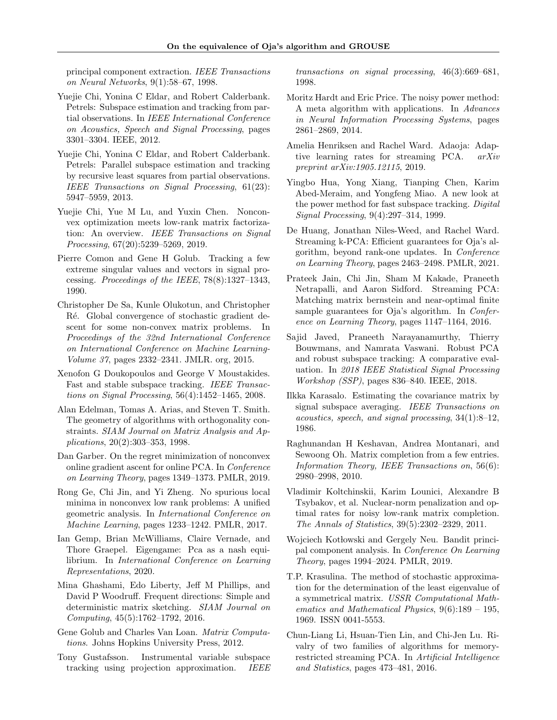principal component extraction. IEEE Transactions on Neural Networks, 9(1):58–67, 1998.

- <span id="page-9-19"></span>Yuejie Chi, Yonina C Eldar, and Robert Calderbank. Petrels: Subspace estimation and tracking from partial observations. In IEEE International Conference on Acoustics, Speech and Signal Processing, pages 3301–3304. IEEE, 2012.
- <span id="page-9-10"></span>Yuejie Chi, Yonina C Eldar, and Robert Calderbank. Petrels: Parallel subspace estimation and tracking by recursive least squares from partial observations. IEEE Transactions on Signal Processing, 61(23): 5947–5959, 2013.
- <span id="page-9-21"></span>Yuejie Chi, Yue M Lu, and Yuxin Chen. Nonconvex optimization meets low-rank matrix factorization: An overview. IEEE Transactions on Signal Processing, 67(20):5239–5269, 2019.
- <span id="page-9-3"></span>Pierre Comon and Gene H Golub. Tracking a few extreme singular values and vectors in signal processing. Proceedings of the IEEE, 78(8):1327–1343, 1990.
- <span id="page-9-12"></span>Christopher De Sa, Kunle Olukotun, and Christopher Ré. Global convergence of stochastic gradient descent for some non-convex matrix problems. In Proceedings of the 32nd International Conference on International Conference on Machine Learning-Volume 37, pages 2332–2341. JMLR. org, 2015.
- <span id="page-9-9"></span>Xenofon G Doukopoulos and George V Moustakides. Fast and stable subspace tracking. IEEE Transactions on Signal Processing, 56(4):1452–1465, 2008.
- <span id="page-9-4"></span>Alan Edelman, Tomas A. Arias, and Steven T. Smith. The geometry of algorithms with orthogonality constraints. SIAM Journal on Matrix Analysis and Applications, 20(2):303–353, 1998.
- <span id="page-9-16"></span>Dan Garber. On the regret minimization of nonconvex online gradient ascent for online PCA. In Conference on Learning Theory, pages 1349–1373. PMLR, 2019.
- <span id="page-9-20"></span>Rong Ge, Chi Jin, and Yi Zheng. No spurious local minima in nonconvex low rank problems: A unified geometric analysis. In International Conference on Machine Learning, pages 1233–1242. PMLR, 2017.
- <span id="page-9-18"></span>Ian Gemp, Brian McWilliams, Claire Vernade, and Thore Graepel. Eigengame: Pca as a nash equilibrium. In International Conference on Learning Representations, 2020.
- <span id="page-9-13"></span>Mina Ghashami, Edo Liberty, Jeff M Phillips, and David P Woodruff. Frequent directions: Simple and deterministic matrix sketching. SIAM Journal on Computing, 45(5):1762–1792, 2016.
- <span id="page-9-24"></span>Gene Golub and Charles Van Loan. Matrix Computations. Johns Hopkins University Press, 2012.
- <span id="page-9-7"></span>Tony Gustafsson. Instrumental variable subspace tracking using projection approximation. IEEE

transactions on signal processing, 46(3):669–681, 1998.

- <span id="page-9-11"></span>Moritz Hardt and Eric Price. The noisy power method: A meta algorithm with applications. In Advances in Neural Information Processing Systems, pages 2861–2869, 2014.
- <span id="page-9-1"></span>Amelia Henriksen and Rachel Ward. Adaoja: Adaptive learning rates for streaming PCA. arXiv preprint arXiv:1905.12115, 2019.
- <span id="page-9-8"></span>Yingbo Hua, Yong Xiang, Tianping Chen, Karim Abed-Meraim, and Yongfeng Miao. A new look at the power method for fast subspace tracking. Digital Signal Processing, 9(4):297–314, 1999.
- <span id="page-9-2"></span>De Huang, Jonathan Niles-Weed, and Rachel Ward. Streaming k-PCA: Efficient guarantees for Oja's algorithm, beyond rank-one updates. In Conference on Learning Theory, pages 2463–2498. PMLR, 2021.
- <span id="page-9-0"></span>Prateek Jain, Chi Jin, Sham M Kakade, Praneeth Netrapalli, and Aaron Sidford. Streaming PCA: Matching matrix bernstein and near-optimal finite sample guarantees for Oja's algorithm. In *Confer*ence on Learning Theory, pages 1147–1164, 2016.
- <span id="page-9-14"></span>Sajid Javed, Praneeth Narayanamurthy, Thierry Bouwmans, and Namrata Vaswani. Robust PCA and robust subspace tracking: A comparative evaluation. In 2018 IEEE Statistical Signal Processing Workshop (SSP), pages 836–840. IEEE, 2018.
- <span id="page-9-6"></span>Ilkka Karasalo. Estimating the covariance matrix by signal subspace averaging. IEEE Transactions on acoustics, speech, and signal processing, 34(1):8–12, 1986.
- <span id="page-9-22"></span>Raghunandan H Keshavan, Andrea Montanari, and Sewoong Oh. Matrix completion from a few entries. Information Theory, IEEE Transactions on, 56(6): 2980–2998, 2010.
- <span id="page-9-23"></span>Vladimir Koltchinskii, Karim Lounici, Alexandre B Tsybakov, et al. Nuclear-norm penalization and optimal rates for noisy low-rank matrix completion. The Annals of Statistics, 39(5):2302–2329, 2011.
- <span id="page-9-15"></span>Wojciech Kotłowski and Gergely Neu. Bandit principal component analysis. In Conference On Learning Theory, pages 1994–2024. PMLR, 2019.
- <span id="page-9-5"></span>T.P. Krasulina. The method of stochastic approximation for the determination of the least eigenvalue of a symmetrical matrix. USSR Computational Mathematics and Mathematical Physics, 9(6):189 – 195, 1969. ISSN 0041-5553.
- <span id="page-9-17"></span>Chun-Liang Li, Hsuan-Tien Lin, and Chi-Jen Lu. Rivalry of two families of algorithms for memoryrestricted streaming PCA. In Artificial Intelligence and Statistics, pages 473–481, 2016.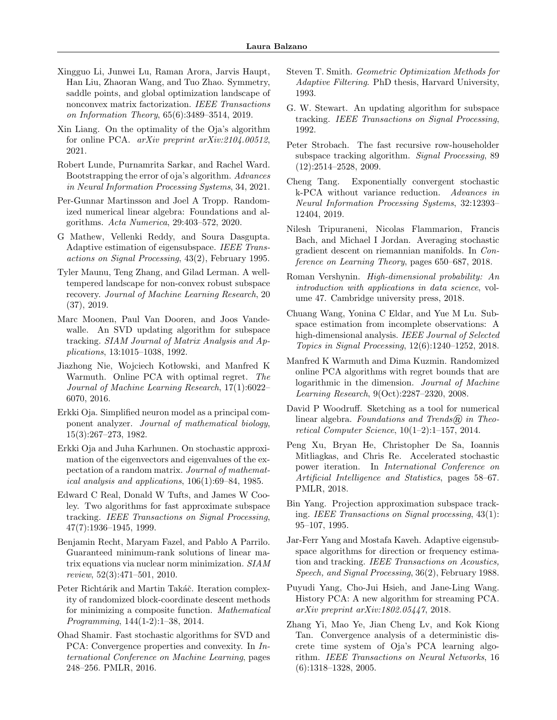- <span id="page-10-21"></span>Xingguo Li, Junwei Lu, Raman Arora, Jarvis Haupt, Han Liu, Zhaoran Wang, and Tuo Zhao. Symmetry, saddle points, and global optimization landscape of nonconvex matrix factorization. IEEE Transactions on Information Theory, 65(6):3489–3514, 2019.
- <span id="page-10-19"></span>Xin Liang. On the optimality of the Oja's algorithm for online PCA. arXiv preprint arXiv:2104.00512, 2021.
- <span id="page-10-18"></span>Robert Lunde, Purnamrita Sarkar, and Rachel Ward. Bootstrapping the error of oja's algorithm. Advances in Neural Information Processing Systems, 34, 2021.
- <span id="page-10-26"></span>Per-Gunnar Martinsson and Joel A Tropp. Randomized numerical linear algebra: Foundations and algorithms. Acta Numerica, 29:403–572, 2020.
- <span id="page-10-7"></span>G Mathew, Vellenki Reddy, and Soura Dasgupta. Adaptive estimation of eigensubspace. IEEE Transactions on Signal Processing, 43(2), February 1995.
- <span id="page-10-22"></span>Tyler Maunu, Teng Zhang, and Gilad Lerman. A welltempered landscape for non-convex robust subspace recovery. Journal of Machine Learning Research, 20 (37), 2019.
- <span id="page-10-9"></span>Marc Moonen, Paul Van Dooren, and Joos Vandewalle. An SVD updating algorithm for subspace tracking. SIAM Journal of Matrix Analysis and Applications, 13:1015–1038, 1992.
- <span id="page-10-13"></span>Jiazhong Nie, Wojciech Kotłowski, and Manfred K Warmuth. Online PCA with optimal regret. The Journal of Machine Learning Research, 17(1):6022– 6070, 2016.
- <span id="page-10-0"></span>Erkki Oja. Simplified neuron model as a principal component analyzer. Journal of mathematical biology, 15(3):267–273, 1982.
- <span id="page-10-4"></span>Erkki Oja and Juha Karhunen. On stochastic approximation of the eigenvectors and eigenvalues of the expectation of a random matrix. Journal of mathematical analysis and applications, 106(1):69–84, 1985.
- <span id="page-10-8"></span>Edward C Real, Donald W Tufts, and James W Cooley. Two algorithms for fast approximate subspace tracking. IEEE Transactions on Signal Processing, 47(7):1936–1945, 1999.
- <span id="page-10-24"></span>Benjamin Recht, Maryam Fazel, and Pablo A Parrilo. Guaranteed minimum-rank solutions of linear matrix equations via nuclear norm minimization. SIAM review, 52(3):471–501, 2010.
- <span id="page-10-25"></span>Peter Richtárik and Martin Takáč. Iteration complexity of randomized block-coordinate descent methods for minimizing a composite function. Mathematical Programming, 144(1-2):1–38, 2014.
- <span id="page-10-16"></span>Ohad Shamir. Fast stochastic algorithms for SVD and PCA: Convergence properties and convexity. In International Conference on Machine Learning, pages 248–256. PMLR, 2016.
- <span id="page-10-6"></span>Steven T. Smith. Geometric Optimization Methods for Adaptive Filtering. PhD thesis, Harvard University, 1993.
- <span id="page-10-10"></span>G. W. Stewart. An updating algorithm for subspace tracking. IEEE Transactions on Signal Processing, 1992.
- <span id="page-10-12"></span>Peter Strobach. The fast recursive row-householder subspace tracking algorithm. Signal Processing, 89 (12):2514–2528, 2009.
- <span id="page-10-2"></span>Cheng Tang. Exponentially convergent stochastic k-PCA without variance reduction. Advances in Neural Information Processing Systems, 32:12393– 12404, 2019.
- <span id="page-10-15"></span>Nilesh Tripuraneni, Nicolas Flammarion, Francis Bach, and Michael I Jordan. Averaging stochastic gradient descent on riemannian manifolds. In Conference on Learning Theory, pages 650–687, 2018.
- <span id="page-10-23"></span>Roman Vershynin. High-dimensional probability: An introduction with applications in data science, volume 47. Cambridge university press, 2018.
- <span id="page-10-20"></span>Chuang Wang, Yonina C Eldar, and Yue M Lu. Subspace estimation from incomplete observations: A high-dimensional analysis. IEEE Journal of Selected Topics in Signal Processing, 12(6):1240–1252, 2018.
- <span id="page-10-11"></span>Manfred K Warmuth and Dima Kuzmin. Randomized online PCA algorithms with regret bounds that are logarithmic in the dimension. Journal of Machine Learning Research, 9(Oct):2287–2320, 2008.
- <span id="page-10-27"></span>David P Woodruff. Sketching as a tool for numerical linear algebra. Foundations and Trends $\widehat{R}$  in Theoretical Computer Science, 10(1–2):1–157, 2014.
- <span id="page-10-17"></span>Peng Xu, Bryan He, Christopher De Sa, Ioannis Mitliagkas, and Chris Re. Accelerated stochastic power iteration. In International Conference on Artificial Intelligence and Statistics, pages 58–67. PMLR, 2018.
- <span id="page-10-3"></span>Bin Yang. Projection approximation subspace tracking. IEEE Transactions on Signal processing, 43(1): 95–107, 1995.
- <span id="page-10-5"></span>Jar-Ferr Yang and Mostafa Kaveh. Adaptive eigensubspace algorithms for direction or frequency estimation and tracking. IEEE Transactions on Acoustics, Speech, and Signal Processing, 36(2), February 1988.
- <span id="page-10-14"></span>Puyudi Yang, Cho-Jui Hsieh, and Jane-Ling Wang. History PCA: A new algorithm for streaming PCA. arXiv preprint arXiv:1802.05447, 2018.
- <span id="page-10-1"></span>Zhang Yi, Mao Ye, Jian Cheng Lv, and Kok Kiong Tan. Convergence analysis of a deterministic discrete time system of Oja's PCA learning algorithm. IEEE Transactions on Neural Networks, 16 (6):1318–1328, 2005.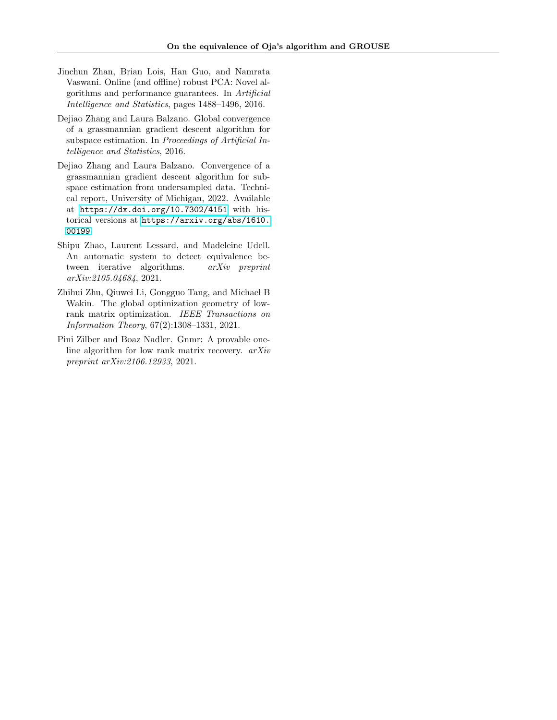- <span id="page-11-0"></span>Jinchun Zhan, Brian Lois, Han Guo, and Namrata Vaswani. Online (and offline) robust PCA: Novel algorithms and performance guarantees. In Artificial Intelligence and Statistics, pages 1488–1496, 2016.
- <span id="page-11-4"></span>Dejiao Zhang and Laura Balzano. Global convergence of a grassmannian gradient descent algorithm for subspace estimation. In Proceedings of Artificial Intelligence and Statistics, 2016.
- <span id="page-11-3"></span>Dejiao Zhang and Laura Balzano. Convergence of a grassmannian gradient descent algorithm for subspace estimation from undersampled data. Technical report, University of Michigan, 2022. Available at [https://dx.doi.org/10.7302/4151]( https://dx.doi.org/10.7302/4151 ) with historical versions at [https://arxiv.org/abs/1610.](https://arxiv.org/abs/1610.00199) [00199](https://arxiv.org/abs/1610.00199).
- <span id="page-11-2"></span>Shipu Zhao, Laurent Lessard, and Madeleine Udell. An automatic system to detect equivalence between iterative algorithms. arXiv preprint arXiv:2105.04684, 2021.
- <span id="page-11-1"></span>Zhihui Zhu, Qiuwei Li, Gongguo Tang, and Michael B Wakin. The global optimization geometry of lowrank matrix optimization. IEEE Transactions on Information Theory, 67(2):1308–1331, 2021.
- <span id="page-11-5"></span>Pini Zilber and Boaz Nadler. Gnmr: A provable oneline algorithm for low rank matrix recovery. arXiv preprint arXiv:2106.12933, 2021.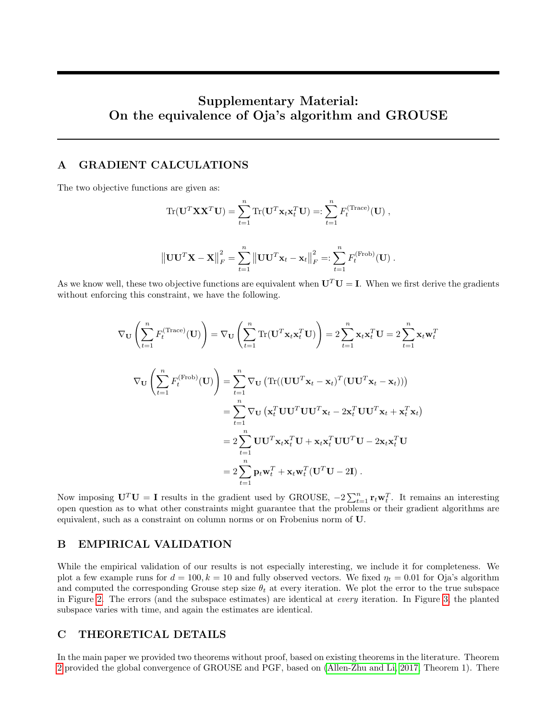# Supplementary Material: On the equivalence of Oja's algorithm and GROUSE

# <span id="page-12-0"></span>A GRADIENT CALCULATIONS

The two objective functions are given as:

$$
\begin{aligned} \text{Tr}(\mathbf{U}^T \mathbf{X} \mathbf{X}^T \mathbf{U}) &= \sum_{t=1}^n \text{Tr}(\mathbf{U}^T \mathbf{x}_t \mathbf{x}_t^T \mathbf{U}) =: \sum_{t=1}^n F_t^{(\text{Trace})}(\mathbf{U}) \;, \\ \\ \left\| \mathbf{U} \mathbf{U}^T \mathbf{X} - \mathbf{X} \right\|_F^2 &= \sum_{t=1}^n \left\| \mathbf{U} \mathbf{U}^T \mathbf{x}_t - \mathbf{x}_t \right\|_F^2 =: \sum_{t=1}^n F_t^{(\text{Frob})}(\mathbf{U}) \;. \end{aligned}
$$

As we know well, these two objective functions are equivalent when  $U^T U = I$ . When we first derive the gradients without enforcing this constraint, we have the following.

 $t=1$ 

 $t=1$ 

$$
\nabla_{\mathbf{U}} \left( \sum_{t=1}^{n} F_t^{(\text{Trace})}(\mathbf{U}) \right) = \nabla_{\mathbf{U}} \left( \sum_{t=1}^{n} \text{Tr}(\mathbf{U}^T \mathbf{x}_t \mathbf{x}_t^T \mathbf{U}) \right) = 2 \sum_{t=1}^{n} \mathbf{x}_t \mathbf{x}_t^T \mathbf{U} = 2 \sum_{t=1}^{n} \mathbf{x}_t \mathbf{w}_t^T
$$

$$
\nabla_{\mathbf{U}} \left( \sum_{t=1}^{n} F_t^{(\text{Frob})}(\mathbf{U}) \right) = \sum_{t=1}^{n} \nabla_{\mathbf{U}} \left( \text{Tr}((\mathbf{U}\mathbf{U}^T \mathbf{x}_t - \mathbf{x}_t)^T (\mathbf{U}\mathbf{U}^T \mathbf{x}_t - \mathbf{x}_t)) \right)
$$

$$
= \sum_{t=1}^{n} \nabla_{\mathbf{U}} \left( \mathbf{x}_t^T \mathbf{U}\mathbf{U}^T \mathbf{U}\mathbf{U}^T \mathbf{x}_t - 2 \mathbf{x}_t^T \mathbf{U}\mathbf{U}^T \mathbf{x}_t + \mathbf{x}_t^T \mathbf{x}_t \right)
$$

$$
= 2 \sum_{t=1}^{n} \mathbf{U}\mathbf{U}^T \mathbf{x}_t \mathbf{x}_t^T \mathbf{U} + \mathbf{x}_t \mathbf{x}_t^T \mathbf{U}\mathbf{U}^T \mathbf{U} - 2 \mathbf{x}_t \mathbf{x}_t^T \mathbf{U}
$$

$$
= 2 \sum_{t=1}^{n} \mathbf{p}_t \mathbf{w}_t^T + \mathbf{x}_t \mathbf{w}_t^T (\mathbf{U}^T \mathbf{U} - 2\mathbf{I}).
$$

Now imposing  $\mathbf{U}^T \mathbf{U} = \mathbf{I}$  results in the gradient used by GROUSE,  $-2 \sum_{t=1}^n \mathbf{r}_t \mathbf{w}_t^T$ . It remains an interesting open question as to what other constraints might guarantee that the problems or their gradient algorithms are equivalent, such as a constraint on column norms or on Frobenius norm of U.

### B EMPIRICAL VALIDATION

While the empirical validation of our results is not especially interesting, we include it for completeness. We plot a few example runs for  $d = 100, k = 10$  and fully observed vectors. We fixed  $\eta_t = 0.01$  for Oja's algorithm and computed the corresponding Grouse step size  $\theta_t$  at every iteration. We plot the error to the true subspace in Figure [2.](#page-13-0) The errors (and the subspace estimates) are identical at every iteration. In Figure [3,](#page-14-0) the planted subspace varies with time, and again the estimates are identical.

# C THEORETICAL DETAILS

In the main paper we provided two theorems without proof, based on existing theorems in the literature. Theorem [2](#page-6-3) provided the global convergence of GROUSE and PGF, based on [\(Allen-Zhu and Li, 2017,](#page-8-1) Theorem 1). There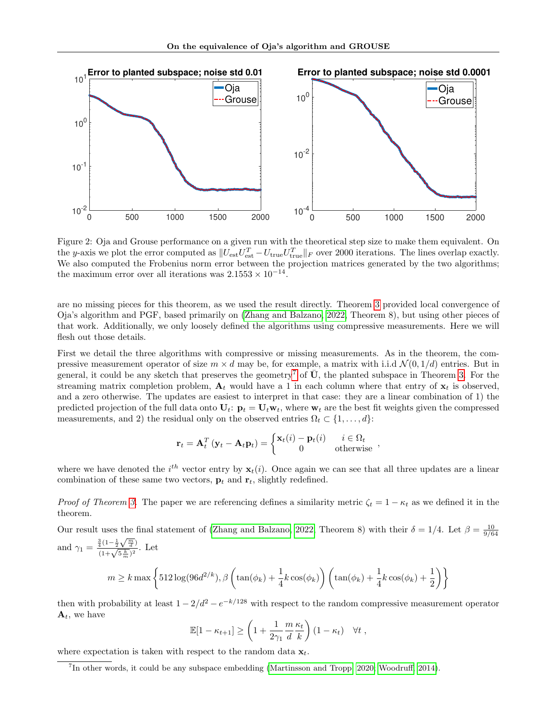<span id="page-13-0"></span>

Figure 2: Oja and Grouse performance on a given run with the theoretical step size to make them equivalent. On the y-axis we plot the error computed as  $||U_{est}U_{est}^T - U_{true}U_{true}^T||_F$  over 2000 iterations. The lines overlap exactly. We also computed the Frobenius norm error between the projection matrices generated by the two algorithms; the maximum error over all iterations was  $2.1553 \times 10^{-14}$ .

are no missing pieces for this theorem, as we used the result directly. Theorem [3](#page-7-0) provided local convergence of Oja's algorithm and PGF, based primarily on [\(Zhang and Balzano, 2022,](#page-11-3) Theorem 8), but using other pieces of that work. Additionally, we only loosely defined the algorithms using compressive measurements. Here we will flesh out those details.

First we detail the three algorithms with compressive or missing measurements. As in the theorem, the compressive measurement operator of size  $m \times d$  may be, for example, a matrix with i.i.d  $\mathcal{N}(0, 1/d)$  entries. But in general, it could be any sketch that preserves the geometry<sup>[7](#page-13-1)</sup> of  $\bar{U}$ , the planted subspace in Theorem [3.](#page-7-0) For the streaming matrix completion problem,  $A_t$  would have a 1 in each column where that entry of  $x_t$  is observed, and a zero otherwise. The updates are easiest to interpret in that case: they are a linear combination of 1) the predicted projection of the full data onto  $U_t$ :  $\mathbf{p}_t = U_t \mathbf{w}_t$ , where  $\mathbf{w}_t$  are the best fit weights given the compressed measurements, and 2) the residual only on the observed entries  $\Omega_t \subset \{1, \ldots, d\}$ :

$$
\mathbf{r}_t = \mathbf{A}_t^T \left( \mathbf{y}_t - \mathbf{A}_t \mathbf{p}_t \right) = \begin{cases} \mathbf{x}_t(i) - \mathbf{p}_t(i) & i \in \Omega_t \\ 0 & \text{otherwise} \end{cases}
$$

where we have denoted the  $i^{th}$  vector entry by  $\mathbf{x}_t(i)$ . Once again we can see that all three updates are a linear combination of these same two vectors,  $\mathbf{p}_t$  and  $\mathbf{r}_t$ , slightly redefined.

*Proof of Theorem [3.](#page-7-0)* The paper we are referencing defines a similarity metric  $\zeta_t = 1 - \kappa_t$  as we defined it in the theorem.

Our result uses the final statement of [\(Zhang and Balzano, 2022,](#page-11-3) Theorem 8) with their  $\delta = 1/4$ . Let  $\beta = \frac{10}{9/64}$ and  $\gamma_1 = \frac{\frac{3}{4}(1-\frac{1}{2}\sqrt{\frac{m}{d}})}{(1+\sqrt{5\frac{k}{m}})^2}$ . Let  $m \ge k \max \left\{ 512 \log(96d^{2/k}), \beta \left( \tan(\phi_k) + \frac{1}{4}k \cos(\phi_k) \right) \left( \tan(\phi_k) + \frac{1}{4}k \cos(\phi_k) + \frac{1}{2}k \right) \right\}$  $\setminus$ 

then with probability at least  $1 - 2/d^2 - e^{-k/128}$  with respect to the random compressive measurement operator  $\mathbf{A}_t$ , we have

$$
\mathbb{E}[1 - \kappa_{t+1}] \ge \left(1 + \frac{1}{2\gamma_1} \frac{m}{d} \frac{\kappa_t}{k}\right) (1 - \kappa_t) \quad \forall t,
$$

where expectation is taken with respect to the random data  $x_t$ .

<span id="page-13-1"></span><sup>7</sup> In other words, it could be any subspace embedding [\(Martinsson and Tropp, 2020;](#page-10-26) [Woodruff, 2014\)](#page-10-27).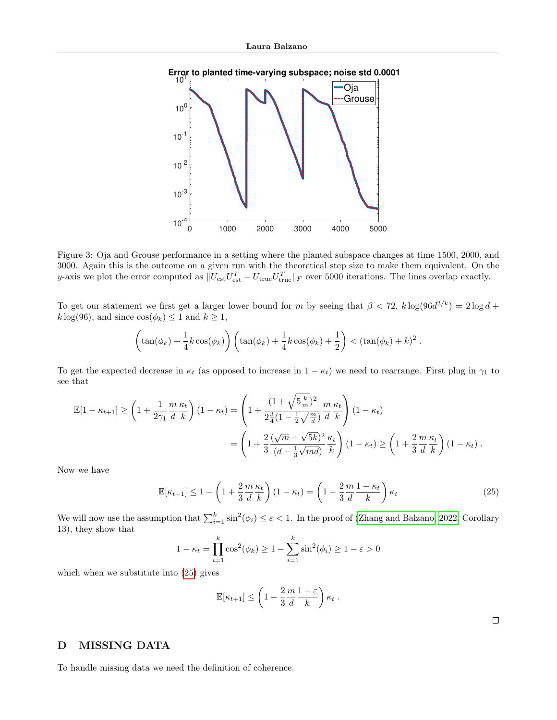<span id="page-14-0"></span>



Figure 3: Oja and Grouse performance in a setting where the planted subspace changes at time 1500, 2000, and 3000. Again this is the outcome on a given run with the theoretical step size to make them equivalent. On the y-axis we plot the error computed as  $||U_{est}U_{est}^T - U_{true}U_{true}^T||_F$  over 5000 iterations. The lines overlap exactly.

To get our statement we first get a larger lower bound for m by seeing that  $\beta < 72$ ,  $k \log(96d^{2/k}) = 2 \log d +$  $k \log(96)$ , and since  $\cos(\phi_k) \leq 1$  and  $k \geq 1$ ,

$$
\left(\tan(\phi_k) + \frac{1}{4}k\cos(\phi_k)\right)\left(\tan(\phi_k) + \frac{1}{4}k\cos(\phi_k) + \frac{1}{2}\right) < (\tan(\phi_k) + k)^2.
$$

To get the expected decrease in  $\kappa_t$  (as opposed to increase in  $1 - \kappa_t$ ) we need to rearrange. First plug in  $\gamma_1$  to see that

$$
\mathbb{E}[1 - \kappa_{t+1}] \ge \left(1 + \frac{1}{2\gamma_1} \frac{m}{d} \frac{\kappa_t}{k}\right) (1 - \kappa_t) = \left(1 + \frac{(1 + \sqrt{5\frac{k}{m}})^2}{2\frac{3}{4}(1 - \frac{1}{2}\sqrt{\frac{m}{d}})} \frac{m}{d} \frac{\kappa_t}{k}\right) (1 - \kappa_t)
$$
  
= 
$$
\left(1 + \frac{2}{3} \frac{(\sqrt{m} + \sqrt{5k})^2}{(d - \frac{1}{3}\sqrt{md})} \frac{\kappa_t}{k}\right) (1 - \kappa_t) \ge \left(1 + \frac{2}{3} \frac{m}{d} \frac{\kappa_t}{k}\right) (1 - \kappa_t).
$$

Now we have

$$
\mathbb{E}[\kappa_{t+1}] \le 1 - \left(1 + \frac{2}{3} \frac{m}{d} \frac{\kappa_t}{k}\right) (1 - \kappa_t) = \left(1 - \frac{2}{3} \frac{m}{d} \frac{1 - \kappa_t}{k}\right) \kappa_t
$$
\n(25)

We will now use the assumption that  $\sum_{i=1}^{k} \sin^2(\phi_i) \leq \varepsilon < 1$ . In the proof of [\(Zhang and Balzano, 2022,](#page-11-3) Corollary 13), they show that

$$
1 - \kappa_t = \prod_{i=1}^k \cos^2(\phi_k) \ge 1 - \sum_{i=1}^k \sin^2(\phi_i) \ge 1 - \varepsilon > 0
$$

which when we substitute into [\(25\)](#page-14-1) gives

$$
\mathbb{E}[\kappa_{t+1}] \le \left(1 - \frac{2}{3} \frac{m}{d} \frac{1 - \varepsilon}{k}\right) \kappa_t.
$$

<span id="page-14-1"></span>

# D MISSING DATA

To handle missing data we need the definition of coherence.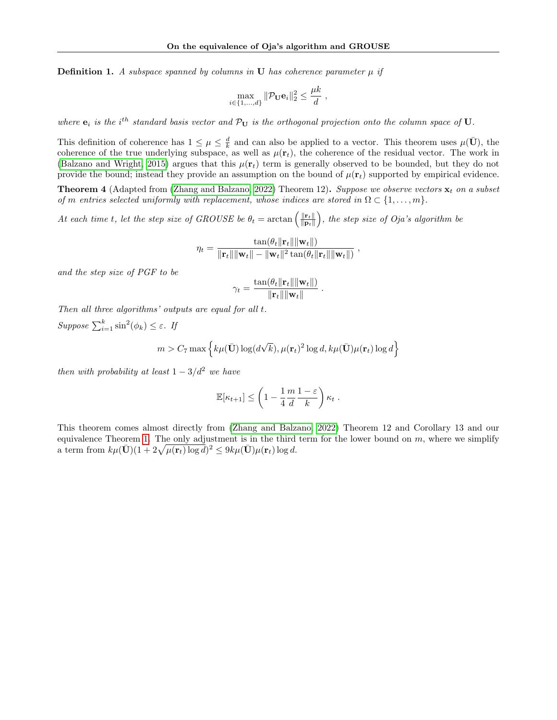**Definition 1.** A subspace spanned by columns in U has coherence parameter  $\mu$  if

$$
\max_{i \in \{1, \dots, d\}} \|\mathcal{P}_{\mathbf{U}}\mathbf{e}_i\|_2^2 \le \frac{\mu k}{d} \;,
$$

where  $e_i$  is the i<sup>th</sup> standard basis vector and  $\mathcal{P}_{U}$  is the orthogonal projection onto the column space of U.

This definition of coherence has  $1 \leq \mu \leq \frac{d}{k}$  and can also be applied to a vector. This theorem uses  $\mu(\bar{U})$ , the coherence of the true underlying subspace, as well as  $\mu(\mathbf{r}_t)$ , the coherence of the residual vector. The work in [\(Balzano and Wright, 2015\)](#page-8-18) argues that this  $\mu(\mathbf{r}_t)$  term is generally observed to be bounded, but they do not provide the bound; instead they provide an assumption on the bound of  $\mu(\mathbf{r}_t)$  supported by empirical evidence.

**Theorem 4** (Adapted from [\(Zhang and Balzano, 2022\)](#page-11-3) Theorem 12). Suppose we observe vectors  $\mathbf{x}_t$  on a subset of m entries selected uniformly with replacement, whose indices are stored in  $\Omega \subset \{1, \ldots, m\}$ .

At each time t, let the step size of GROUSE be  $\theta_t = \arctan \left( \frac{\|\mathbf{r}_t\|}{\|\mathbf{r}_t\|} \right)$  $\|\mathbf{p}_t\|$ ), the step size of  $Oja$ 's algorithm be

$$
\eta_t = \frac{\tan(\theta_t \|\mathbf{r}_t\| \|\mathbf{w}_t\|)}{\|\mathbf{r}_t\| \|\mathbf{w}_t\| - \|\mathbf{w}_t\|^2 \tan(\theta_t \|\mathbf{r}_t\| \|\mathbf{w}_t\|)}
$$

,

and the step size of PGF to be

$$
\gamma_t = \frac{\tan(\theta_t \|\mathbf{r}_t\| \|\mathbf{w}_t\|)}{\|\mathbf{r}_t\| \|\mathbf{w}_t\|}.
$$

Then all three algorithms' outputs are equal for all t.

 $Suppose \sum_{i=1}^{k} \sin^{2}(\phi_{k}) \leq \varepsilon$ . If

$$
m > C_7 \max \left\{ k \mu(\bar{\mathbf{U}}) \log(d\sqrt{k}), \mu(\mathbf{r}_t)^2 \log d, k \mu(\bar{\mathbf{U}}) \mu(\mathbf{r}_t) \log d \right\}
$$

then with probability at least  $1 - 3/d^2$  we have

$$
\mathbb{E}[\kappa_{t+1}] \le \left(1 - \frac{1}{4} \frac{m}{d} \frac{1 - \varepsilon}{k}\right) \kappa_t.
$$

This theorem comes almost directly from [\(Zhang and Balzano, 2022\)](#page-11-3) Theorem 12 and Corollary 13 and our equivalence Theorem [1.](#page-4-1) The only adjustment is in the third term for the lower bound on  $m$ , where we simplify a term from  $k\mu(\bar{\mathbf{U}})(1+2\sqrt{\mu(\mathbf{r}_t)\log d})^2 \leq 9k\mu(\bar{\mathbf{U}})\mu(\mathbf{r}_t)\log d.$